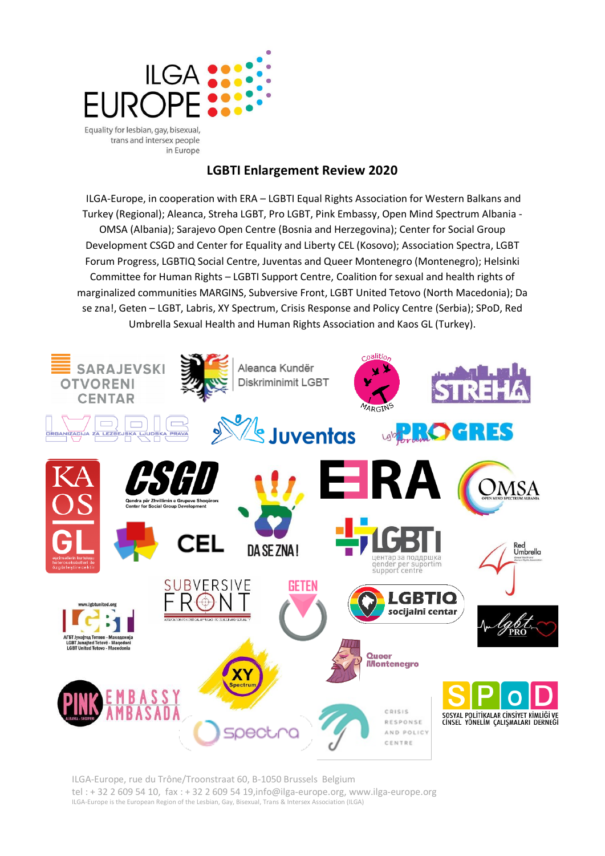

in Europe **LGBTI Enlargement Review 2020**

ILGA-Europe, in cooperation with ERA – LGBTI Equal Rights Association for Western Balkans and Turkey (Regional); Aleanca, Streha LGBT, Pro LGBT, Pink Embassy, Open Mind Spectrum Albania - OMSA (Albania); Sarajevo Open Centre (Bosnia and Herzegovina); Center for Social Group Development CSGD and Center for Equality and Liberty CEL (Kosovo); Association Spectra, LGBT Forum Progress, LGBTIQ Social Centre, Juventas and Queer Montenegro (Montenegro); Helsinki Committee for Human Rights – LGBTI Support Centre, Coalition for sexual and health rights of marginalized communities MARGINS, Subversive Front, LGBT United Tetovo (North Macedonia); Da se zna!, Geten – LGBT, Labris, XY Spectrum, Crisis Response and Policy Centre (Serbia); SPoD, Red Umbrella Sexual Health and Human Rights Association and Kaos GL (Turkey).



ILGA-Europe, rue du Trône/Troonstraat 60, B-1050 Brussels Belgium tel : + 32 2 609 54 10, fax : + 32 2 609 54 19,info@ilga-europe.org, www.ilga-europe.org ILGA-Europe is the European Region of the Lesbian, Gay, Bisexual, Trans & Intersex Association (ILGA)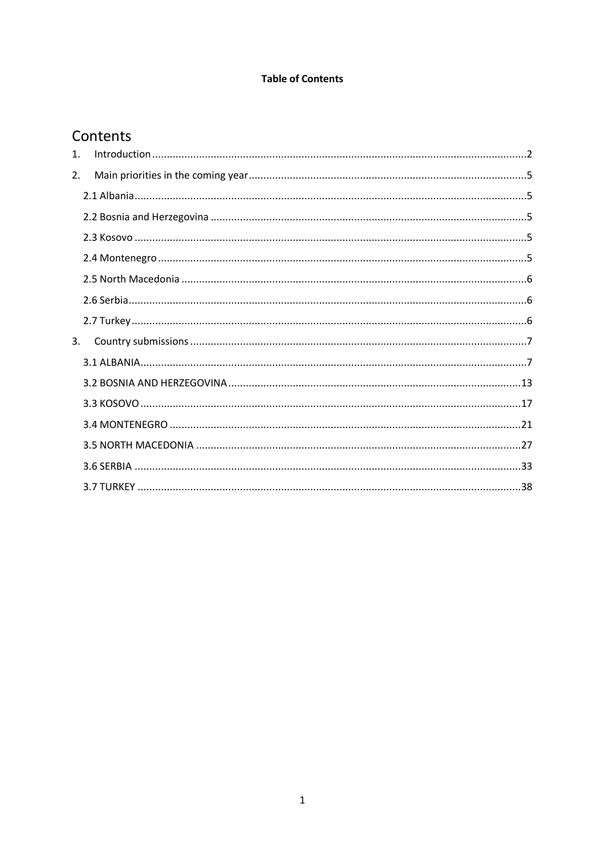# **Table of Contents**

# Contents

| 1. |  |
|----|--|
| 2. |  |
|    |  |
|    |  |
|    |  |
|    |  |
|    |  |
|    |  |
|    |  |
| 3. |  |
|    |  |
|    |  |
|    |  |
|    |  |
|    |  |
|    |  |
|    |  |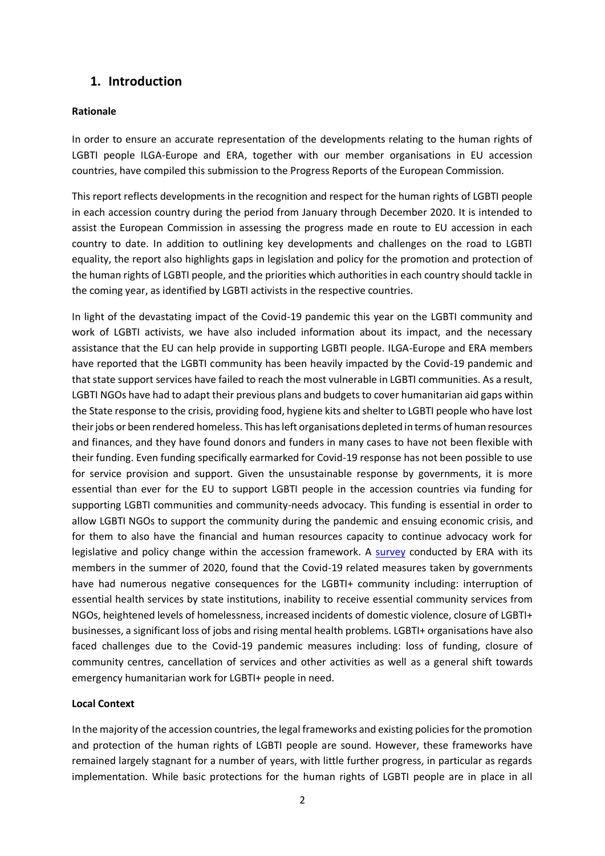# <span id="page-2-0"></span>**1. Introduction**

## **Rationale**

In order to ensure an accurate representation of the developments relating to the human rights of LGBTI people ILGA-Europe and ERA, together with our member organisations in EU accession countries, have compiled this submission to the Progress Reports of the European Commission.

This report reflects developments in the recognition and respect for the human rights of LGBTI people in each accession country during the period from January through December 2020. It is intended to assist the European Commission in assessing the progress made en route to EU accession in each country to date. In addition to outlining key developments and challenges on the road to LGBTI equality, the report also highlights gaps in legislation and policy for the promotion and protection of the human rights of LGBTI people, and the priorities which authorities in each country should tackle in the coming year, as identified by LGBTI activists in the respective countries.

In light of the devastating impact of the Covid-19 pandemic this year on the LGBTI community and work of LGBTI activists, we have also included information about its impact, and the necessary assistance that the EU can help provide in supporting LGBTI people. ILGA-Europe and ERA members have reported that the LGBTI community has been heavily impacted by the Covid-19 pandemic and that state support services have failed to reach the most vulnerable in LGBTI communities. As a result, LGBTI NGOs have had to adapt their previous plans and budgets to cover humanitarian aid gaps within the State response to the crisis, providing food, hygiene kits and shelter to LGBTI people who have lost their jobs or been rendered homeless. This has left organisations depleted in terms of human resources and finances, and they have found donors and funders in many cases to have not been flexible with their funding. Even funding specifically earmarked for Covid-19 response has not been possible to use for service provision and support. Given the unsustainable response by governments, it is more essential than ever for the EU to support LGBTI people in the accession countries via funding for supporting LGBTI communities and community-needs advocacy. This funding is essential in order to allow LGBTI NGOs to support the community during the pandemic and ensuing economic crisis, and for them to also have the financial and human resources capacity to continue advocacy work for legislative and policy change within the accession framework. A [survey](https://www.lgbti-era.org/one-stop-shop/understanding-impact-covid-19-pandemic-measures-lgbti-community-western-balkans) conducted by ERA with its members in the summer of 2020, found that the Covid-19 related measures taken by governments have had numerous negative consequences for the LGBTI+ community including: interruption of essential health services by state institutions, inability to receive essential community services from NGOs, heightened levels of homelessness, increased incidents of domestic violence, closure of LGBTI+ businesses, a significant loss of jobs and rising mental health problems. LGBTI+ organisations have also faced challenges due to the Covid-19 pandemic measures including: loss of funding, closure of community centres, cancellation of services and other activities as well as a general shift towards emergency humanitarian work for LGBTI+ people in need.

# **Local Context**

In the majority of the accession countries, the legal frameworks and existing policies for the promotion and protection of the human rights of LGBTI people are sound. However, these frameworks have remained largely stagnant for a number of years, with little further progress, in particular as regards implementation. While basic protections for the human rights of LGBTI people are in place in all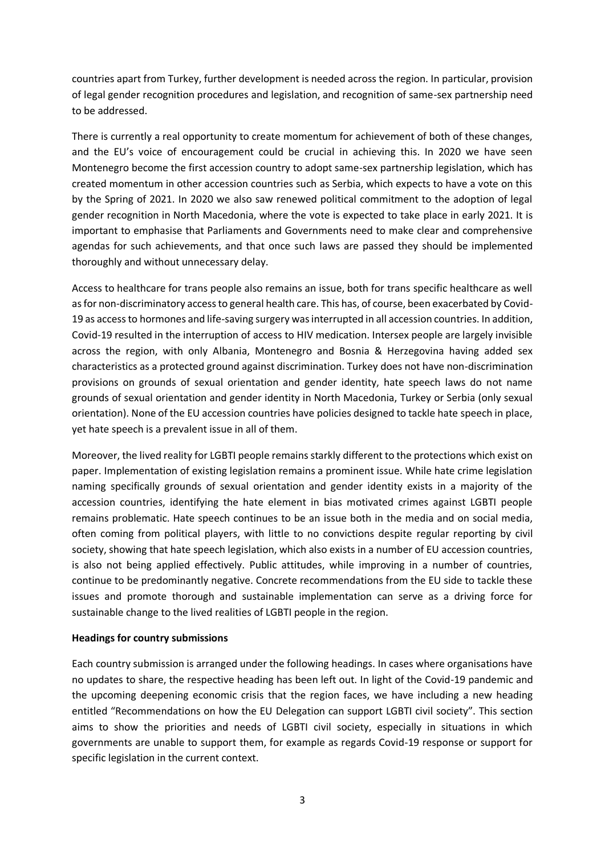countries apart from Turkey, further development is needed across the region. In particular, provision of legal gender recognition procedures and legislation, and recognition of same-sex partnership need to be addressed.

There is currently a real opportunity to create momentum for achievement of both of these changes, and the EU's voice of encouragement could be crucial in achieving this. In 2020 we have seen Montenegro become the first accession country to adopt same-sex partnership legislation, which has created momentum in other accession countries such as Serbia, which expects to have a vote on this by the Spring of 2021. In 2020 we also saw renewed political commitment to the adoption of legal gender recognition in North Macedonia, where the vote is expected to take place in early 2021. It is important to emphasise that Parliaments and Governments need to make clear and comprehensive agendas for such achievements, and that once such laws are passed they should be implemented thoroughly and without unnecessary delay.

Access to healthcare for trans people also remains an issue, both for trans specific healthcare as well as for non-discriminatory access to general health care. This has, of course, been exacerbated by Covid-19 as access to hormones and life-saving surgery was interrupted in all accession countries. In addition, Covid-19 resulted in the interruption of access to HIV medication. Intersex people are largely invisible across the region, with only Albania, Montenegro and Bosnia & Herzegovina having added sex characteristics as a protected ground against discrimination. Turkey does not have non-discrimination provisions on grounds of sexual orientation and gender identity, hate speech laws do not name grounds of sexual orientation and gender identity in North Macedonia, Turkey or Serbia (only sexual orientation). None of the EU accession countries have policies designed to tackle hate speech in place, yet hate speech is a prevalent issue in all of them.

Moreover, the lived reality for LGBTI people remains starkly different to the protections which exist on paper. Implementation of existing legislation remains a prominent issue. While hate crime legislation naming specifically grounds of sexual orientation and gender identity exists in a majority of the accession countries, identifying the hate element in bias motivated crimes against LGBTI people remains problematic. Hate speech continues to be an issue both in the media and on social media, often coming from political players, with little to no convictions despite regular reporting by civil society, showing that hate speech legislation, which also exists in a number of EU accession countries, is also not being applied effectively. Public attitudes, while improving in a number of countries, continue to be predominantly negative. Concrete recommendations from the EU side to tackle these issues and promote thorough and sustainable implementation can serve as a driving force for sustainable change to the lived realities of LGBTI people in the region.

## **Headings for country submissions**

Each country submission is arranged under the following headings. In cases where organisations have no updates to share, the respective heading has been left out. In light of the Covid-19 pandemic and the upcoming deepening economic crisis that the region faces, we have including a new heading entitled "Recommendations on how the EU Delegation can support LGBTI civil society". This section aims to show the priorities and needs of LGBTI civil society, especially in situations in which governments are unable to support them, for example as regards Covid-19 response or support for specific legislation in the current context.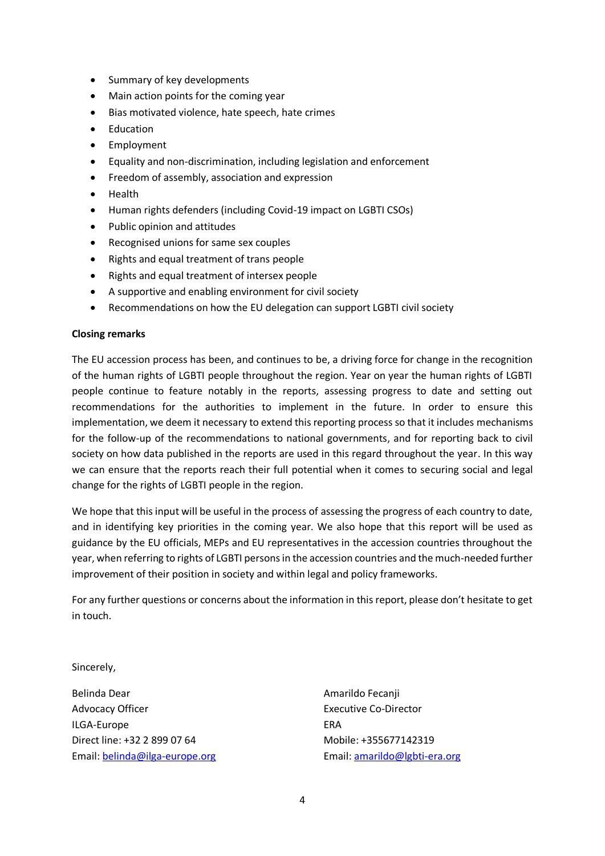- Summary of key developments
- Main action points for the coming year
- Bias motivated violence, hate speech, hate crimes
- Education
- Employment
- Equality and non-discrimination, including legislation and enforcement
- Freedom of assembly, association and expression
- Health
- Human rights defenders (including Covid-19 impact on LGBTI CSOs)
- Public opinion and attitudes
- Recognised unions for same sex couples
- Rights and equal treatment of trans people
- Rights and equal treatment of intersex people
- A supportive and enabling environment for civil society
- Recommendations on how the EU delegation can support LGBTI civil society

#### **Closing remarks**

The EU accession process has been, and continues to be, a driving force for change in the recognition of the human rights of LGBTI people throughout the region. Year on year the human rights of LGBTI people continue to feature notably in the reports, assessing progress to date and setting out recommendations for the authorities to implement in the future. In order to ensure this implementation, we deem it necessary to extend this reporting process so that it includes mechanisms for the follow-up of the recommendations to national governments, and for reporting back to civil society on how data published in the reports are used in this regard throughout the year. In this way we can ensure that the reports reach their full potential when it comes to securing social and legal change for the rights of LGBTI people in the region.

We hope that this input will be useful in the process of assessing the progress of each country to date, and in identifying key priorities in the coming year. We also hope that this report will be used as guidance by the EU officials, MEPs and EU representatives in the accession countries throughout the year, when referring to rights of LGBTI persons in the accession countries and the much-needed further improvement of their position in society and within legal and policy frameworks.

For any further questions or concerns about the information in this report, please don't hesitate to get in touch.

Sincerely,

Belinda Dear **Amarildo Fecanji Amarildo Fecanji** Advocacy Officer **Executive Co-Director** Executive Co-Director ILGA-Europe **ERA** Direct line: +32 2 899 07 64 Mobile: +355677142319 Email: [belinda@ilga-europe.org](mailto:belinda@ilga-europe.org) Email[: amarildo@lgbti-era.org](mailto:amarildo@lgbti-era.org)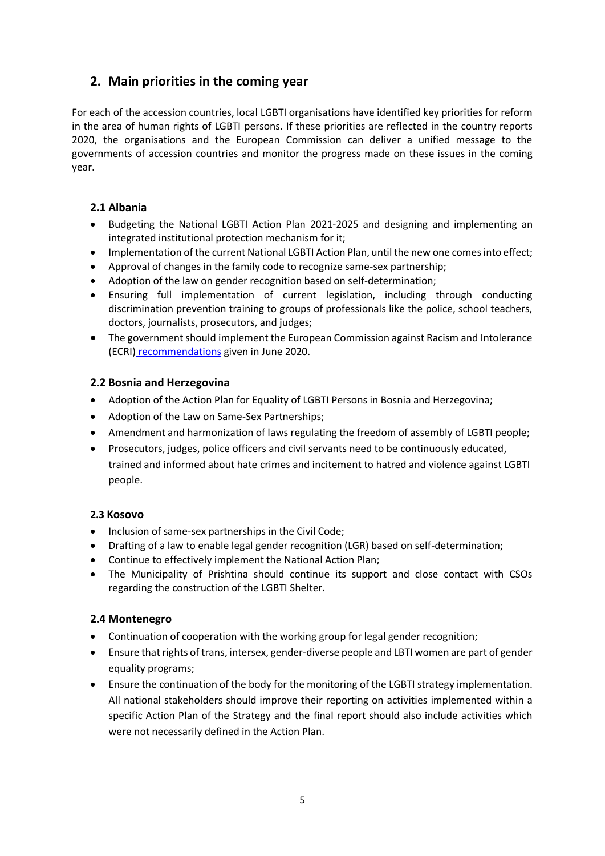# <span id="page-5-0"></span>**2. Main priorities in the coming year**

For each of the accession countries, local LGBTI organisations have identified key priorities for reform in the area of human rights of LGBTI persons. If these priorities are reflected in the country reports 2020, the organisations and the European Commission can deliver a unified message to the governments of accession countries and monitor the progress made on these issues in the coming year.

# <span id="page-5-1"></span>**2.1 Albania**

- Budgeting the National LGBTI Action Plan 2021-2025 and designing and implementing an integrated institutional protection mechanism for it;
- Implementation of the current National LGBTI Action Plan, until the new one comes into effect;
- Approval of changes in the family code to recognize same-sex partnership;
- Adoption of the law on gender recognition based on self-determination;
- Ensuring full implementation of current legislation, including through conducting discrimination prevention training to groups of professionals like the police, school teachers, doctors, journalists, prosecutors, and judges;
- The government should implement the European Commission against Racism and Intolerance (ECRI) [recommendations](https://rm.coe.int/report-on-albania-6th-monitoring-cycle-/16809e8241) given in June 2020.

# <span id="page-5-2"></span>**2.2 Bosnia and Herzegovina**

- Adoption of the Action Plan for Equality of LGBTI Persons in Bosnia and Herzegovina;
- Adoption of the Law on Same-Sex Partnerships;
- Amendment and harmonization of laws regulating the freedom of assembly of LGBTI people;
- Prosecutors, judges, police officers and civil servants need to be continuously educated, trained and informed about hate crimes and incitement to hatred and violence against LGBTI people.

# <span id="page-5-3"></span>**2.3 Kosovo**

- Inclusion of same-sex partnerships in the Civil Code;
- Drafting of a law to enable legal gender recognition (LGR) based on self-determination;
- Continue to effectively implement the National Action Plan;
- The Municipality of Prishtina should continue its support and close contact with CSOs regarding the construction of the LGBTI Shelter.

# <span id="page-5-4"></span>**2.4 Montenegro**

- Continuation of cooperation with the working group for legal gender recognition;
- Ensure that rights of trans, intersex, gender-diverse people and LBTI women are part of gender equality programs;
- Ensure the continuation of the body for the monitoring of the LGBTI strategy implementation. All national stakeholders should improve their reporting on activities implemented within a specific Action Plan of the Strategy and the final report should also include activities which were not necessarily defined in the Action Plan.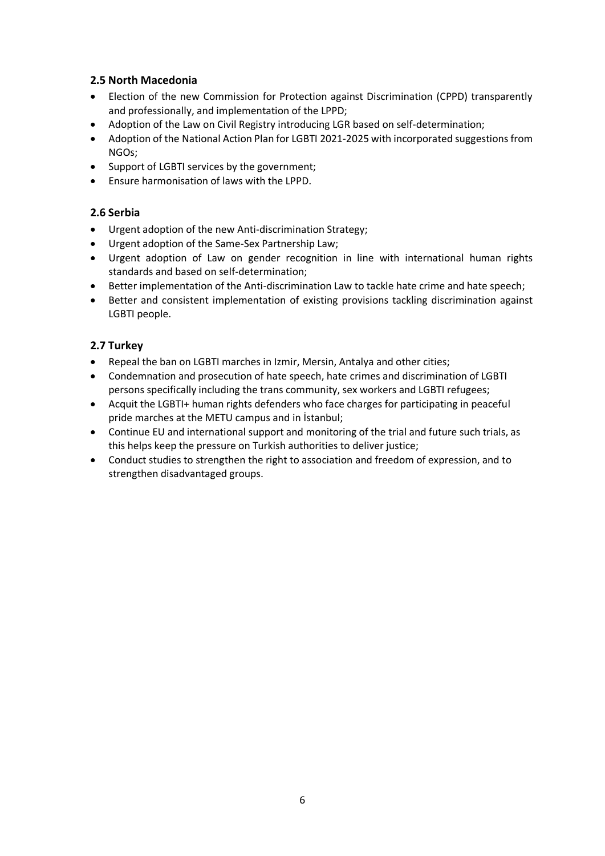# <span id="page-6-0"></span>**2.5 North Macedonia**

- Election of the new Commission for Protection against Discrimination (CPPD) transparently and professionally, and implementation of the LPPD;
- Adoption of the Law on Civil Registry introducing LGR based on self-determination;
- Adoption of the National Action Plan for LGBTI 2021-2025 with incorporated suggestions from NGOs;
- Support of LGBTI services by the government;
- Ensure harmonisation of laws with the LPPD.

# <span id="page-6-1"></span>**2.6 Serbia**

- Urgent adoption of the new Anti-discrimination Strategy;
- Urgent adoption of the Same-Sex Partnership Law;
- Urgent adoption of Law on gender recognition in line with international human rights standards and based on self-determination;
- Better implementation of the Anti-discrimination Law to tackle hate crime and hate speech;
- Better and consistent implementation of existing provisions tackling discrimination against LGBTI people.

# <span id="page-6-2"></span>**2.7 Turkey**

- Repeal the ban on LGBTI marches in Izmir, Mersin, Antalya and other cities;
- Condemnation and prosecution of hate speech, hate crimes and discrimination of LGBTI persons specifically including the trans community, sex workers and LGBTI refugees;
- Acquit the LGBTI+ human rights defenders who face charges for participating in peaceful pride marches at the METU campus and in İstanbul;
- Continue EU and international support and monitoring of the trial and future such trials, as this helps keep the pressure on Turkish authorities to deliver justice;
- Conduct studies to strengthen the right to association and freedom of expression, and to strengthen disadvantaged groups.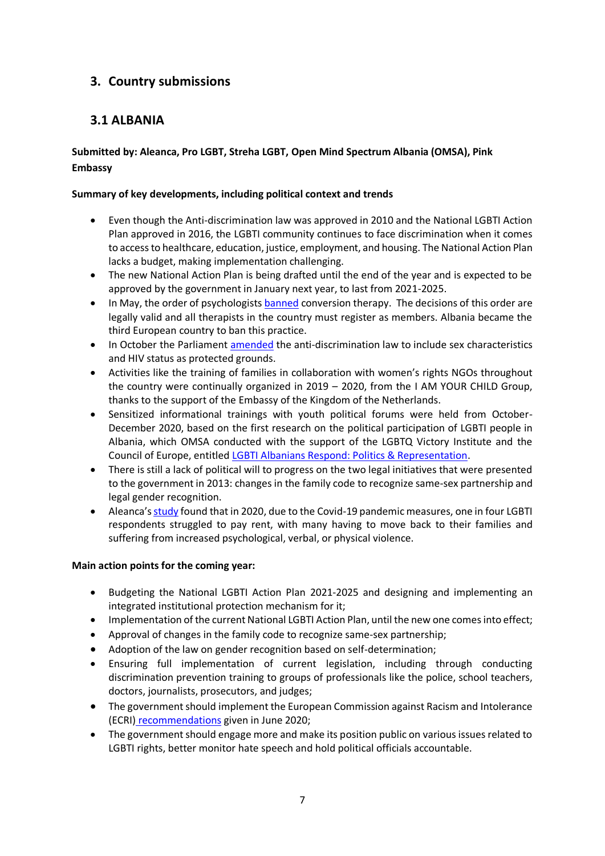# <span id="page-7-0"></span>**3. Country submissions**

# <span id="page-7-1"></span>**3.1 ALBANIA**

# **Submitted by: Aleanca, Pro LGBT, Streha LGBT, Open Mind Spectrum Albania (OMSA), Pink Embassy**

# **Summary of key developments, including political context and trends**

- Even though the Anti-discrimination law was approved in 2010 and the National LGBTI Action Plan approved in 2016, the LGBTI community continues to face discrimination when it comes to access to healthcare, education, justice, employment, and housing. The National Action Plan lacks a budget, making implementation challenging.
- The new National Action Plan is being drafted until the end of the year and is expected to be approved by the government in January next year, to last from 2021-2025.
- In May, the order of psychologists [banned](https://www.france24.com/en/20200516-albania-becomes-third-european-country-to-ban-gay-conversion-therapy) conversion therapy. The decisions of this order are legally valid and all therapists in the country must register as members. Albania became the third European country to ban this practice.
- In October the Parliament [amended](https://www.lgbti-era.org/news/albania-amends-its-law-protection-discrimination-hiv-status-and-sex-characteristics-are-now) the anti-discrimination law to include sex characteristics and HIV status as protected grounds.
- Activities like the training of families in collaboration with women's rights NGOs throughout the country were continually organized in 2019 – 2020, from the I AM YOUR CHILD Group, thanks to the support of the Embassy of the Kingdom of the Netherlands.
- Sensitized informational trainings with youth political forums were held from October-December 2020, based on the first research on the political participation of LGBTI people in Albania, which OMSA conducted with the support of the LGBTQ Victory Institute and the Council of Europe, entitled [LGBTI Albanians Respond: Politics & Representation.](http://omsalbania.org/index.php/portfolio-item/mendimi-i-shqiptareve-lgbti-politika-dhe-perfaqesimi/)
- There is still a lack of political will to progress on the two legal initiatives that were presented to the government in 2013: changes in the family code to recognize same-sex partnership and legal gender recognition.
- Aleanca's [study](https://www.historiaime.al/lgbt/the-situation-of-the-lgbti-community-during-the-covid-19-pandemic-in-albania/) found that in 2020, due to the Covid-19 pandemic measures, one in four LGBTI respondents struggled to pay rent, with many having to move back to their families and suffering from increased psychological, verbal, or physical violence.

# **Main action points for the coming year:**

- Budgeting the National LGBTI Action Plan 2021-2025 and designing and implementing an integrated institutional protection mechanism for it;
- Implementation of the current National LGBTI Action Plan, until the new one comes into effect;
- Approval of changes in the family code to recognize same-sex partnership;
- Adoption of the law on gender recognition based on self-determination;
- Ensuring full implementation of current legislation, including through conducting discrimination prevention training to groups of professionals like the police, school teachers, doctors, journalists, prosecutors, and judges;
- The government should implement the European Commission against Racism and Intolerance (ECRI) [recommendations](https://rm.coe.int/report-on-albania-6th-monitoring-cycle-/16809e8241) given in June 2020;
- The government should engage more and make its position public on various issues related to LGBTI rights, better monitor hate speech and hold political officials accountable.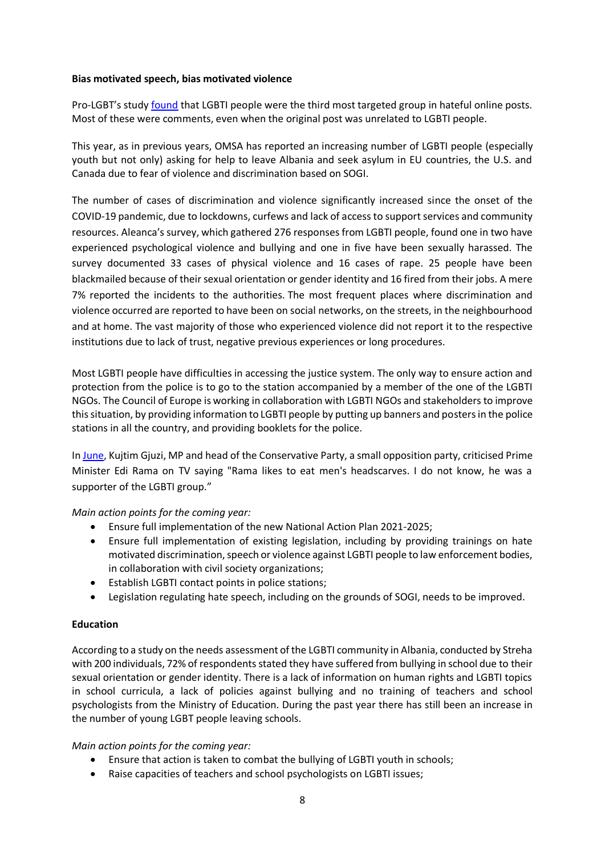## **Bias motivated speech, bias motivated violence**

Pro-LGBT's study [found](https://drive.google.com/file/d/1aIoNyhyyVhg-50l3i1PiieDodt1LaQar/view) that LGBTI people were the third most targeted group in hateful online posts. Most of these were comments, even when the original post was unrelated to LGBTI people.

This year, as in previous years, OMSA has reported an increasing number of LGBTI people (especially youth but not only) asking for help to leave Albania and seek asylum in EU countries, the U.S. and Canada due to fear of violence and discrimination based on SOGI.

The number of cases of discrimination and violence significantly increased since the onset of the COVID-19 pandemic, due to lockdowns, curfews and lack of access to support services and community resources. Aleanca's survey, which gathered 276 responses from LGBTI people, found one in two have experienced psychological violence and bullying and one in five have been sexually harassed. The survey documented 33 cases of physical violence and 16 cases of rape. 25 people have been blackmailed because of their sexual orientation or gender identity and 16 fired from their jobs. A mere 7% reported the incidents to the authorities. The most frequent places where discrimination and violence occurred are reported to have been on social networks, on the streets, in the neighbourhood and at home. The vast majority of those who experienced violence did not report it to the respective institutions due to lack of trust, negative previous experiences or long procedures.

Most LGBTI people have difficulties in accessing the justice system. The only way to ensure action and protection from the police is to go to the station accompanied by a member of the one of the LGBTI NGOs. The Council of Europe is working in collaboration with LGBTI NGOs and stakeholders to improve this situation, by providing information to LGBTI people by putting up banners and posters in the police stations in all the country, and providing booklets for the police.

I[n June,](http://www.albeu.com/shqiperi/gjuzi-sulmon-ramen-pas-perjashtimit-nga-parlamenti-ka-qejf-ti-haje-shamite-e-meshkujve/529009/) Kujtim Gjuzi, MP and head of the Conservative Party, a small opposition party, criticised Prime Minister Edi Rama on TV saying "Rama likes to eat men's headscarves. I do not know, he was a supporter of the LGBTI group."

*Main action points for the coming year:*

- Ensure full implementation of the new National Action Plan 2021-2025;
- Ensure full implementation of existing legislation, including by providing trainings on hate motivated discrimination, speech or violence against LGBTI people to law enforcement bodies, in collaboration with civil society organizations;
- Establish LGBTI contact points in police stations;
- Legislation regulating hate speech, including on the grounds of SOGI, needs to be improved.

## **Education**

According to a study on the needs assessment of the LGBTI community in Albania, conducted by Streha with 200 individuals, 72% of respondents stated they have suffered from bullying in school due to their sexual orientation or gender identity. There is a lack of information on human rights and LGBTI topics in school curricula, a lack of policies against bullying and no training of teachers and school psychologists from the Ministry of Education. During the past year there has still been an increase in the number of young LGBT people leaving schools.

## *Main action points for the coming year:*

- Ensure that action is taken to combat the bullying of LGBTI youth in schools;
- Raise capacities of teachers and school psychologists on LGBTI issues;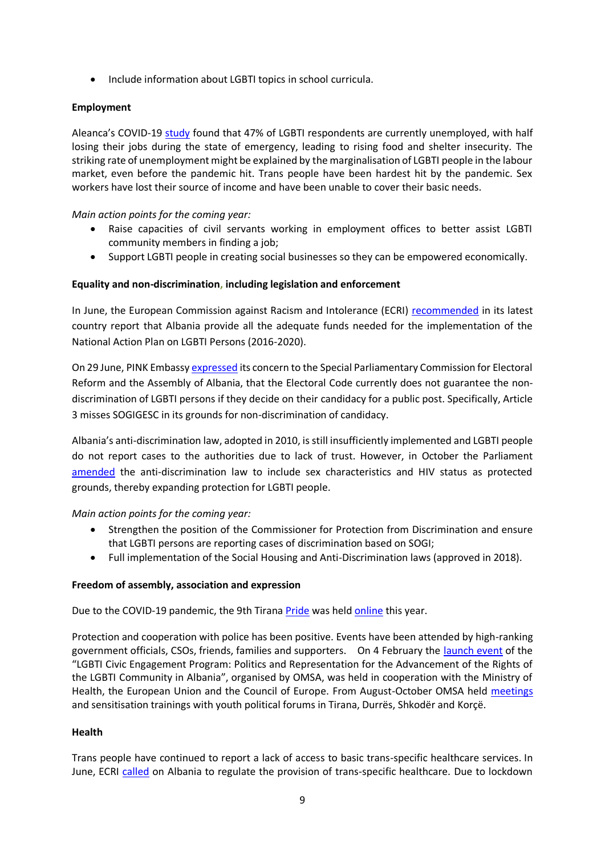• Include information about LGBTI topics in school curricula.

# **Employment**

Aleanca's COVID-19 [study](https://historia-ime.com/lgbt/the-situation-of-the-lgbti-community-during-the-covid-19-pandemic-in-albania/) found that 47% of LGBTI respondents are currently unemployed, with half losing their jobs during the state of emergency, leading to rising food and shelter insecurity. The striking rate of unemployment might be explained by the marginalisation of LGBTI people in the labour market, even before the pandemic hit. Trans people have been hardest hit by the pandemic. Sex workers have lost their source of income and have been unable to cover their basic needs.

*Main action points for the coming year:*

- Raise capacities of civil servants working in employment offices to better assist LGBTI community members in finding a job;
- Support LGBTI people in creating social businesses so they can be empowered economically.

# **Equality and non-discrimination, including legislation and enforcement**

In June, the European Commission against Racism and Intolerance (ECRI) [recommended](https://rm.coe.int/report-on-albania-6th-monitoring-cycle-/16809e8241) in its latest country report that Albania provide all the adequate funds needed for the implementation of the National Action Plan on LGBTI Persons (2016-2020).

On 29 June, PINK Embassy [expressed](https://www.pinkembassy.al/en/electoral-code-openly-discriminates-lgbti-people-albania) its concern to the Special Parliamentary Commission for Electoral Reform and the Assembly of Albania, that the Electoral Code currently does not guarantee the nondiscrimination of LGBTI persons if they decide on their candidacy for a public post. Specifically, Article 3 misses SOGIGESC in its grounds for non-discrimination of candidacy.

Albania's anti-discrimination law, adopted in 2010, is still insufficiently implemented and LGBTI people do not report cases to the authorities due to lack of trust. However, in October the Parliament [amended](https://www.lgbti-era.org/news/albania-amends-its-law-protection-discrimination-hiv-status-and-sex-characteristics-are-now) the anti-discrimination law to include sex characteristics and HIV status as protected grounds, thereby expanding protection for LGBTI people.

*Main action points for the coming year:*

- Strengthen the position of the Commissioner for Protection from Discrimination and ensure that LGBTI persons are reporting cases of discrimination based on SOGI;
- Full implementation of the Social Housing and Anti-Discrimination laws (approved in 2018).

# **Freedom of assembly, association and expression**

Due to the COVID-19 pandemic, the 9th Tirana [Pride](https://youtu.be/rfgZsPyTf4I) was held [online](https://exit.al/en/2020/05/15/albanias-lgbt-pride-parade-to-be-live-streamed-due-to-covid-19-pandemic/) this year.

Protection and cooperation with police has been positive. Events have been attended by high-ranking government officials, CSOs, friends, families and supporters. On 4 February the [launch event](https://www.coe.int/en/web/sogi/calendar/-/asset_publisher/7fKFZd7F4Hud/content/launching-event-of-the-lgbti-civic-engagement-program-politics-and-representation-for-the-advancement-of-the-lgbti-community-rights-in-albania-?inheritRedirect=false&redirect=https%3A%2F%2Fwww.coe.int%2Fen%2Fweb%2Fsogi%2Fcalendar%3Fp_p_id%3D101_INSTANCE_7fKFZd7F4Hud%26p_p_lifecycle%3D0%26p_p_state%3Dnormal%26p_p_mode%3Dview%26p_p_col_id%3Dcolumn-4%26p_p_col_count%3D1) of the "LGBTI Civic Engagement Program: Politics and Representation for the Advancement of the Rights of the LGBTI Community in Albania", organised by OMSA, was held in cooperation with the Ministry of Health, the European Union and the Council of Europe. From August-October OMSA held [meetings](https://www.facebook.com/160085460823717/posts/1751391518359762/) and sensitisation trainings with youth political forums in Tirana, Durrës, Shkodër and Korçë.

## **Health**

Trans people have continued to report a lack of access to basic trans-specific healthcare services. In June, ECRI [called](https://rm.coe.int/report-on-albania-6th-monitoring-cycle-/16809e8241) on Albania to regulate the provision of trans-specific healthcare. Due to lockdown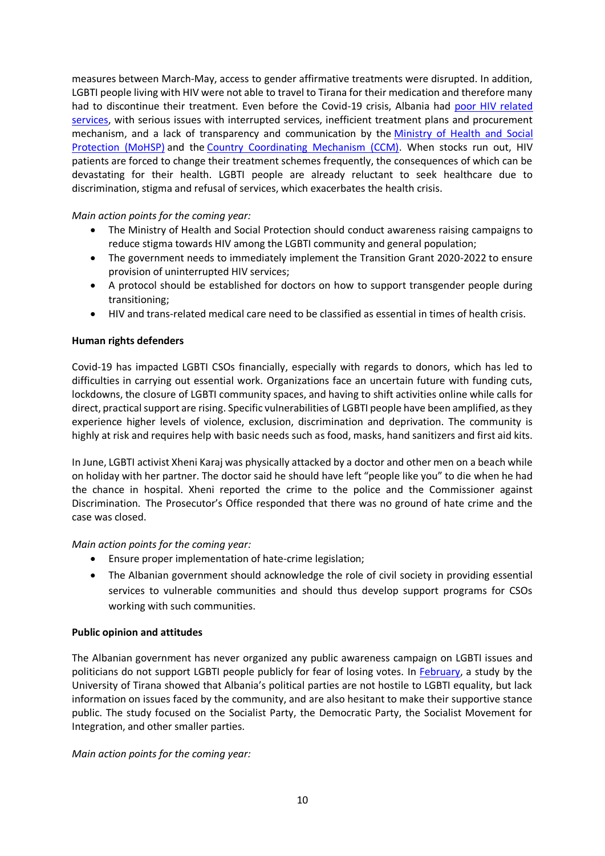measures between March-May, access to gender affirmative treatments were disrupted. In addition, LGBTI people living with HIV were not able to travel to Tirana for their medication and therefore many had to discontinue their treatment. Even before the Covid-19 crisis, Albania had [poor HIV related](https://www.lgbti-era.org/news/shocking-and-unacceptable-2020-albania-fails-its-hivaids-fight)  [services,](https://www.lgbti-era.org/news/shocking-and-unacceptable-2020-albania-fails-its-hivaids-fight) with serious issues with interrupted services, inefficient treatment plans and procurement mechanism, and a lack of transparency and communication by the [Ministry of Health and Social](http://shendetesia.gov.al/)  [Protection \(MoHSP\)](http://shendetesia.gov.al/) and the [Country Coordinating Mechanism \(CCM\).](http://ccm-albania.al/) When stocks run out, HIV patients are forced to change their treatment schemes frequently, the consequences of which can be devastating for their health. LGBTI people are already reluctant to seek healthcare due to discrimination, stigma and refusal of services, which exacerbates the health crisis.

## *Main action points for the coming year:*

- The Ministry of Health and Social Protection should conduct awareness raising campaigns to reduce stigma towards HIV among the LGBTI community and general population;
- The government needs to immediately implement the Transition Grant 2020-2022 to ensure provision of uninterrupted HIV services;
- A protocol should be established for doctors on how to support transgender people during transitioning;
- HIV and trans-related medical care need to be classified as essential in times of health crisis.

## **Human rights defenders**

Covid-19 has impacted LGBTI CSOs financially, especially with regards to donors, which has led to difficulties in carrying out essential work. Organizations face an uncertain future with funding cuts, lockdowns, the closure of LGBTI community spaces, and having to shift activities online while calls for direct, practical support are rising. Specific vulnerabilities of LGBTI people have been amplified, as they experience higher levels of violence, exclusion, discrimination and deprivation. The community is highly at risk and requires help with basic needs such as food, masks, hand sanitizers and first aid kits.

In June, LGBTI activist Xheni Karaj was physically attacked by a doctor and other men on a beach while on holiday with her partner. The doctor said he should have left "people like you" to die when he had the chance in hospital. Xheni reported the crime to the police and the Commissioner against Discrimination. The Prosecutor's Office responded that there was no ground of hate crime and the case was closed.

## *Main action points for the coming year:*

- Ensure proper implementation of hate-crime legislation;
- The Albanian government should acknowledge the role of civil society in providing essential services to vulnerable communities and should thus develop support programs for CSOs working with such communities.

## **Public opinion and attitudes**

The Albanian government has never organized any public awareness campaign on LGBTI issues and politicians do not support LGBTI people publicly for fear of losing votes. In [February,](https://exit.al/en/2020/02/05/political-parties-hesitant-to-take-a-stance-on-lgbti-rights-in-albania/) a study by the University of Tirana showed that Albania's political parties are not hostile to LGBTI equality, but lack information on issues faced by the community, and are also hesitant to make their supportive stance public. The study focused on the Socialist Party, the Democratic Party, the Socialist Movement for Integration, and other smaller parties.

*Main action points for the coming year:*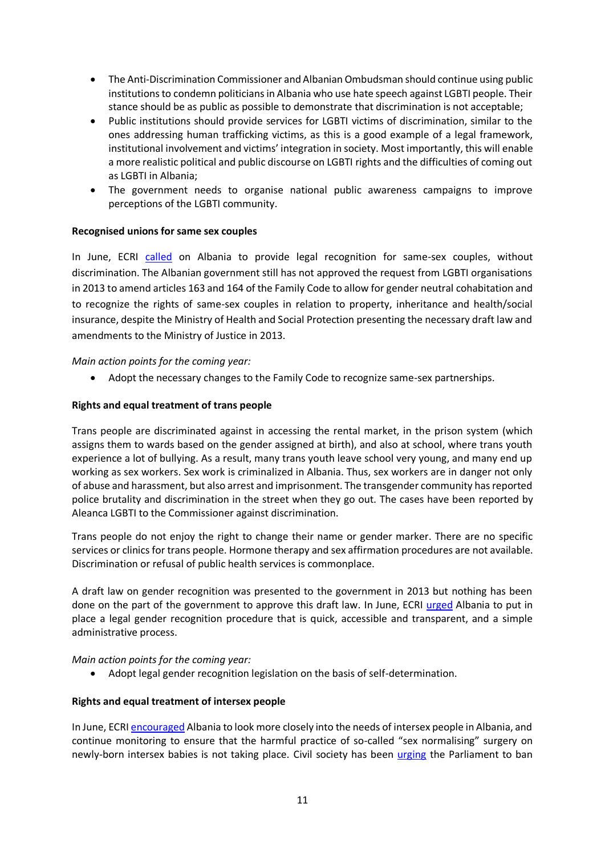- The Anti-Discrimination Commissioner and Albanian Ombudsman should continue using public institutions to condemn politicians in Albania who use hate speech against LGBTI people. Their stance should be as public as possible to demonstrate that discrimination is not acceptable;
- Public institutions should provide services for LGBTI victims of discrimination, similar to the ones addressing human trafficking victims, as this is a good example of a legal framework, institutional involvement and victims' integration in society. Most importantly, this will enable a more realistic political and public discourse on LGBTI rights and the difficulties of coming out as LGBTI in Albania;
- The government needs to organise national public awareness campaigns to improve perceptions of the LGBTI community.

## **Recognised unions for same sex couples**

In June, ECRI [called](https://rm.coe.int/report-on-albania-6th-monitoring-cycle-/16809e8241) on Albania to provide legal recognition for same-sex couples, without discrimination. The Albanian government still has not approved the request from LGBTI organisations in 2013 to amend articles 163 and 164 of the Family Code to allow for gender neutral cohabitation and to recognize the rights of same-sex couples in relation to property, inheritance and health/social insurance, despite the Ministry of Health and Social Protection presenting the necessary draft law and amendments to the Ministry of Justice in 2013.

*Main action points for the coming year:*

• Adopt the necessary changes to the Family Code to recognize same-sex partnerships.

## **Rights and equal treatment of trans people**

Trans people are discriminated against in accessing the rental market, in the prison system (which assigns them to wards based on the gender assigned at birth), and also at school, where trans youth experience a lot of bullying. As a result, many trans youth leave school very young, and many end up working as sex workers. Sex work is criminalized in Albania. Thus, sex workers are in danger not only of abuse and harassment, but also arrest and imprisonment. The transgender community has reported police brutality and discrimination in the street when they go out. The cases have been reported by Aleanca LGBTI to the Commissioner against discrimination.

Trans people do not enjoy the right to change their name or gender marker. There are no specific services or clinics for trans people. Hormone therapy and sex affirmation procedures are not available. Discrimination or refusal of public health services is commonplace.

A draft law on gender recognition was presented to the government in 2013 but nothing has been done on the part of the government to approve this draft law. In June, ECRI [urged](https://rm.coe.int/report-on-albania-6th-monitoring-cycle-/16809e8241) Albania to put in place a legal gender recognition procedure that is quick, accessible and transparent, and a simple administrative process.

*Main action points for the coming year:* 

• Adopt legal gender recognition legislation on the basis of self-determination.

# **Rights and equal treatment of intersex people**

In June, ECRI [encouraged](https://rm.coe.int/report-on-albania-6th-monitoring-cycle-/16809e8241) Albania to look more closely into the needs of intersex people in Albania, and continue monitoring to ensure that the harmful practice of so-called "sex normalising" surgery on newly-born intersex babies is not taking place. Civil society has been [urging](https://www.ilga-europe.org/sites/default/files/Albania.pdf) the Parliament to ban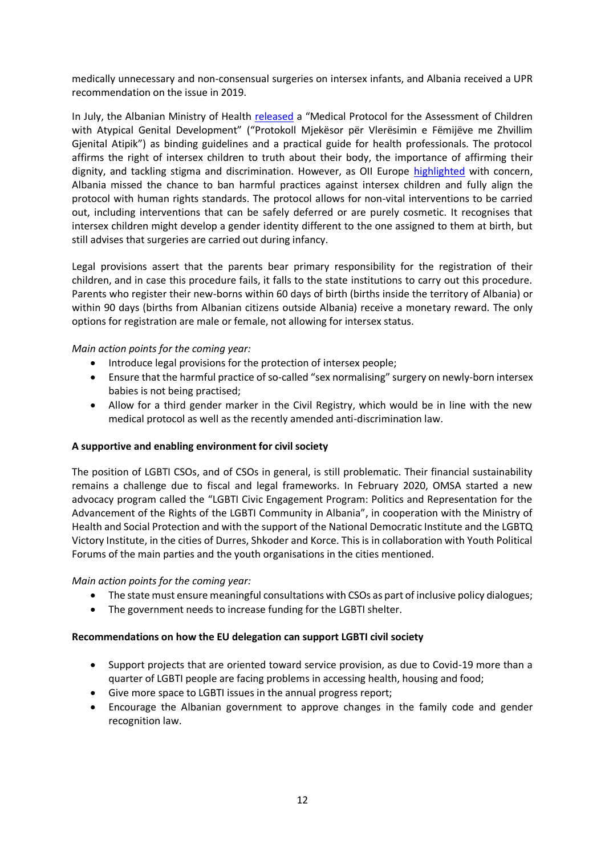medically unnecessary and non-consensual surgeries on intersex infants, and Albania received a UPR recommendation on the issue in 2019.

In July, the Albanian Ministry of Health [released](https://exit.al/shqiperia-miraton-protokollin-per-te-ndaluar-nderhyrjen-mjekesore-te-foshnjat-interseks/) a "Medical Protocol for the Assessment of Children with Atypical Genital Development" ("Protokoll Mjekësor për Vlerësimin e Fëmijëve me Zhvillim Gjenital Atipik") as binding guidelines and a practical guide for health professionals. The protocol affirms the right of intersex children to truth about their body, the importance of affirming their dignity, and tackling stigma and discrimination. However, as OII Europe [highlighted](https://oiieurope.org/albanian-medical-protocol-2020/) with concern, Albania missed the chance to ban harmful practices against intersex children and fully align the protocol with human rights standards. The protocol allows for non-vital interventions to be carried out, including interventions that can be safely deferred or are purely cosmetic. It recognises that intersex children might develop a gender identity different to the one assigned to them at birth, but still advises that surgeries are carried out during infancy.

Legal provisions assert that the parents bear primary responsibility for the registration of their children, and in case this procedure fails, it falls to the state institutions to carry out this procedure. Parents who register their new-borns within 60 days of birth (births inside the territory of Albania) or within 90 days (births from Albanian citizens outside Albania) receive a monetary reward. The only options for registration are male or female, not allowing for intersex status.

## *Main action points for the coming year:*

- Introduce legal provisions for the protection of intersex people;
- Ensure that the harmful practice of so-called "sex normalising" surgery on newly-born intersex babies is not being practised;
- Allow for a third gender marker in the Civil Registry, which would be in line with the new medical protocol as well as the recently amended anti-discrimination law.

## **A supportive and enabling environment for civil society**

The position of LGBTI CSOs, and of CSOs in general, is still problematic. Their financial sustainability remains a challenge due to fiscal and legal frameworks. In February 2020, OMSA started a new advocacy program called the "LGBTI Civic Engagement Program: Politics and Representation for the Advancement of the Rights of the LGBTI Community in Albania", in cooperation with the Ministry of Health and Social Protection and with the support of the National Democratic Institute and the LGBTQ Victory Institute, in the cities of Durres, Shkoder and Korce. This is in collaboration with Youth Political Forums of the main parties and the youth organisations in the cities mentioned.

## *Main action points for the coming year:*

- The state must ensure meaningful consultations with CSOs as part of inclusive policy dialogues;
- The government needs to increase funding for the LGBTI shelter.

## **Recommendations on how the EU delegation can support LGBTI civil society**

- Support projects that are oriented toward service provision, as due to Covid-19 more than a quarter of LGBTI people are facing problems in accessing health, housing and food;
- Give more space to LGBTI issues in the annual progress report;
- Encourage the Albanian government to approve changes in the family code and gender recognition law.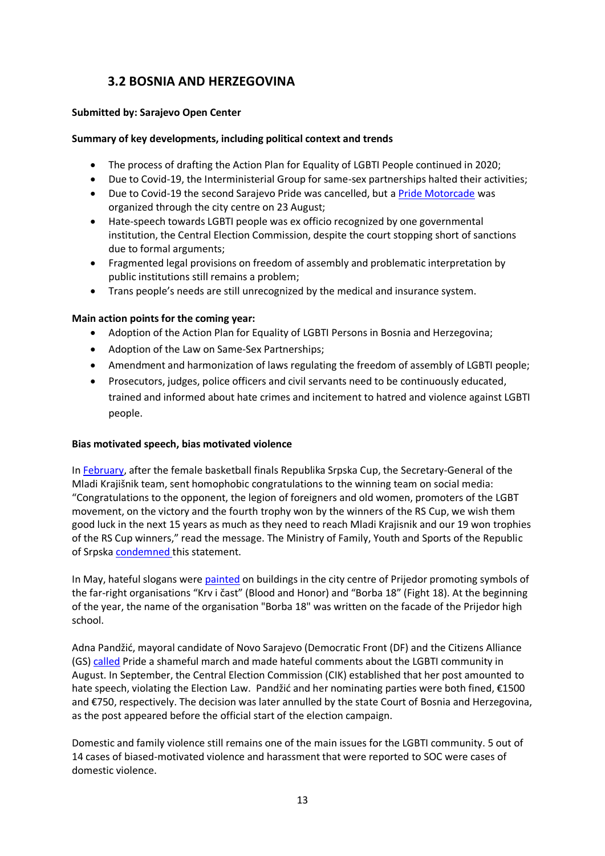# <span id="page-13-0"></span>**3.2 BOSNIA AND HERZEGOVINA**

# **Submitted by: Sarajevo Open Center**

# **Summary of key developments, including political context and trends**

- The process of drafting the Action Plan for Equality of LGBTI People continued in 2020:
- Due to Covid-19, the Interministerial Group for same-sex partnerships halted their activities;
- Due to Covid-19 the second Sarajevo Pride was cancelled, but a [Pride Motorcade](https://povorkaponosa.ba/2020/08/23/bh-povorka-ponosa-mi-postojimo-i-zivimo-u-ovoj-drzavi-i-zahtjevamo-zakone-zastitu-i-sigurnost/) was organized through the city centre on 23 August;
- Hate-speech towards LGBTI people was ex officio recognized by one governmental institution, the Central Election Commission, despite the court stopping short of sanctions due to formal arguments;
- Fragmented legal provisions on freedom of assembly and problematic interpretation by public institutions still remains a problem;
- Trans people's needs are still unrecognized by the medical and insurance system.

## **Main action points for the coming year:**

- Adoption of the Action Plan for Equality of LGBTI Persons in Bosnia and Herzegovina;
- Adoption of the Law on Same-Sex Partnerships;
- Amendment and harmonization of laws regulating the freedom of assembly of LGBTI people;
- Prosecutors, judges, police officers and civil servants need to be continuously educated, trained and informed about hate crimes and incitement to hatred and violence against LGBTI people.

## **Bias motivated speech, bias motivated violence**

In [February,](https://blmojgrad.com/zbog-sramne-cestitke-ocekuju-smjenu-u-mladom-krajisniku/) after the female basketball finals Republika Srpska Cup, the Secretary-General of the Mladi Krajišnik team, sent homophobic congratulations to the winning team on social media: "Congratulations to the opponent, the legion of foreigners and old women, promoters of the LGBT movement, on the victory and the fourth trophy won by the winners of the RS Cup, we wish them good luck in the next 15 years as much as they need to reach Mladi Krajisnik and our 19 won trophies of the RS Cup winners," read the message. The Ministry of Family, Youth and Sports of the Republic of Srpska [condemned t](https://www.banjaluka.com/sport/kosarka/ministarstvo-sporta-srpske-osudilo-uvrede-i-poruke-mrznje-celnika-malenih/)his statement.

In May, hateful slogans were [painted](https://ba.voanews.com/a/desnicarske-i-neonacisticke-organizacije-neometano-isticu-simbole-u-prijedoru/5416246.html) on buildings in the city centre of Prijedor promoting symbols of the far-right organisations "Krv i čast" (Blood and Honor) and "Borba 18" (Fight 18). At the beginning of the year, the name of the organisation "Borba 18" was written on the facade of the Prijedor high school.

Adna Pandžić, mayoral candidate of Novo Sarajevo (Democratic Front (DF) and the Citizens Alliance (GS) [called](https://lgbti.ba/govor-mrznje-u-online-prostoru-odgovornost-politickih-subjekata-i-njihovih-kandidata-kinja/) Pride a shameful march and made hateful comments about the LGBTI community in August. In September, the Central Election Commission (CIK) established that her post amounted to hate speech, violating the Election Law. Pandžić and her nominating parties were both fined, €1500 and €750, respectively. The decision was later annulled by the state Court of Bosnia and Herzegovina, as the post appeared before the official start of the election campaign.

Domestic and family violence still remains one of the main issues for the LGBTI community. 5 out of 14 cases of biased-motivated violence and harassment that were reported to SOC were cases of domestic violence.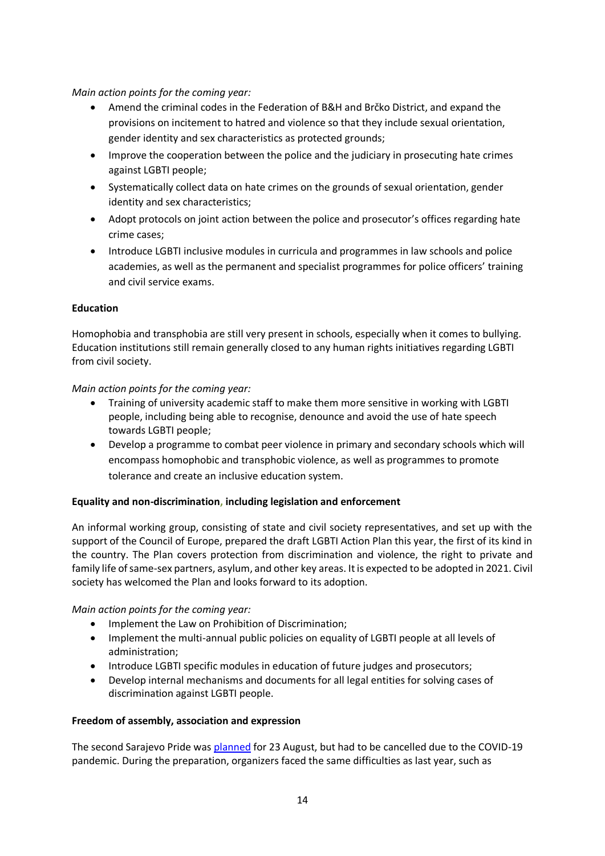# *Main action points for the coming year:*

- Amend the criminal codes in the Federation of B&H and Brčko District, and expand the provisions on incitement to hatred and violence so that they include sexual orientation, gender identity and sex characteristics as protected grounds;
- Improve the cooperation between the police and the judiciary in prosecuting hate crimes against LGBTI people;
- Systematically collect data on hate crimes on the grounds of sexual orientation, gender identity and sex characteristics;
- Adopt protocols on joint action between the police and prosecutor's offices regarding hate crime cases;
- Introduce LGBTI inclusive modules in curricula and programmes in law schools and police academies, as well as the permanent and specialist programmes for police officers' training and civil service exams.

# **Education**

Homophobia and transphobia are still very present in schools, especially when it comes to bullying. Education institutions still remain generally closed to any human rights initiatives regarding LGBTI from civil society.

# *Main action points for the coming year:*

- Training of university academic staff to make them more sensitive in working with LGBTI people, including being able to recognise, denounce and avoid the use of hate speech towards LGBTI people;
- Develop a programme to combat peer violence in primary and secondary schools which will encompass homophobic and transphobic violence, as well as programmes to promote tolerance and create an inclusive education system.

# **Equality and non-discrimination, including legislation and enforcement**

An informal working group, consisting of state and civil society representatives, and set up with the support of the Council of Europe, prepared the draft LGBTI Action Plan this year, the first of its kind in the country. The Plan covers protection from discrimination and violence, the right to private and family life of same-sex partners, asylum, and other key areas. It is expected to be adopted in 2021. Civil society has welcomed the Plan and looks forward to its adoption.

# *Main action points for the coming year:*

- Implement the Law on Prohibition of Discrimination;
- Implement the multi-annual public policies on equality of LGBTI people at all levels of administration;
- Introduce LGBTI specific modules in education of future judges and prosecutors;
- Develop internal mechanisms and documents for all legal entities for solving cases of discrimination against LGBTI people.

# **Freedom of assembly, association and expression**

The second Sarajevo Pride wa[s planned](https://www.cazin.net/vijesti/lgbt-u-bih-hoce-li-biti-druge-sarajevske-parade) for 23 August, but had to be cancelled due to the COVID-19 pandemic. During the preparation, organizers faced the same difficulties as last year, such as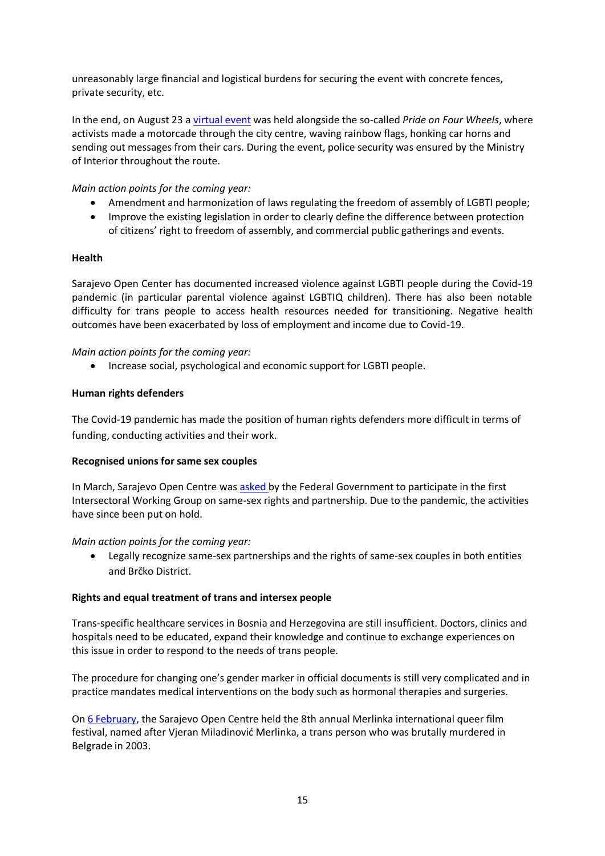unreasonably large financial and logistical burdens for securing the event with concrete fences, private security, etc.

In the end, on August 23 a [virtual event](https://povorkaponosa.ba/2020/08/23/bh-povorka-ponosa-mi-postojimo-i-zivimo-u-ovoj-drzavi-i-zahtjevamo-zakone-zastitu-i-sigurnost/) was held alongside the so-called *Pride on Four Wheels*, where activists made a motorcade through the city centre, waving rainbow flags, honking car horns and sending out messages from their cars. During the event, police security was ensured by the Ministry of Interior throughout the route.

*Main action points for the coming year:*

- Amendment and harmonization of laws regulating the freedom of assembly of LGBTI people;
- Improve the existing legislation in order to clearly define the difference between protection of citizens' right to freedom of assembly, and commercial public gatherings and events.

## **Health**

Sarajevo Open Center has documented increased violence against LGBTI people during the Covid-19 pandemic (in particular parental violence against LGBTIQ children). There has also been notable difficulty for trans people to access health resources needed for transitioning. Negative health outcomes have been exacerbated by loss of employment and income due to Covid-19.

## *Main action points for the coming year:*

• Increase social, psychological and economic support for LGBTI people.

## **Human rights defenders**

The Covid-19 pandemic has made the position of human rights defenders more difficult in terms of funding, conducting activities and their work.

## **Recognised unions for same sex couples**

In March, Sarajevo Open Centre was [asked b](https://www.facebook.com/sarajevskiotvoreni.centar/photos/a.585193064934303/2737177946402460/)y the Federal Government to participate in the first Intersectoral Working Group on same-sex rights and partnership. Due to the pandemic, the activities have since been put on hold.

## *Main action points for the coming year:*

• Legally recognize same-sex partnerships and the rights of same-sex couples in both entities and Brčko District.

## **Rights and equal treatment of trans and intersex people**

Trans-specific healthcare services in Bosnia and Herzegovina are still insufficient. Doctors, clinics and hospitals need to be educated, expand their knowledge and continue to exchange experiences on this issue in order to respond to the needs of trans people.

The procedure for changing one's gender marker in official documents is still very complicated and in practice mandates medical interventions on the body such as hormonal therapies and surgeries.

On [6 February,](http://www.sarajevotimes.com/people-still-think-that-we-are-sick-upcoming-merlinka-festival-a-safe-space-for-political-resistance/) the Sarajevo Open Centre held the 8th annual Merlinka international queer film festival, named after Vjeran Miladinović Merlinka, a trans person who was brutally murdered in Belgrade in 2003.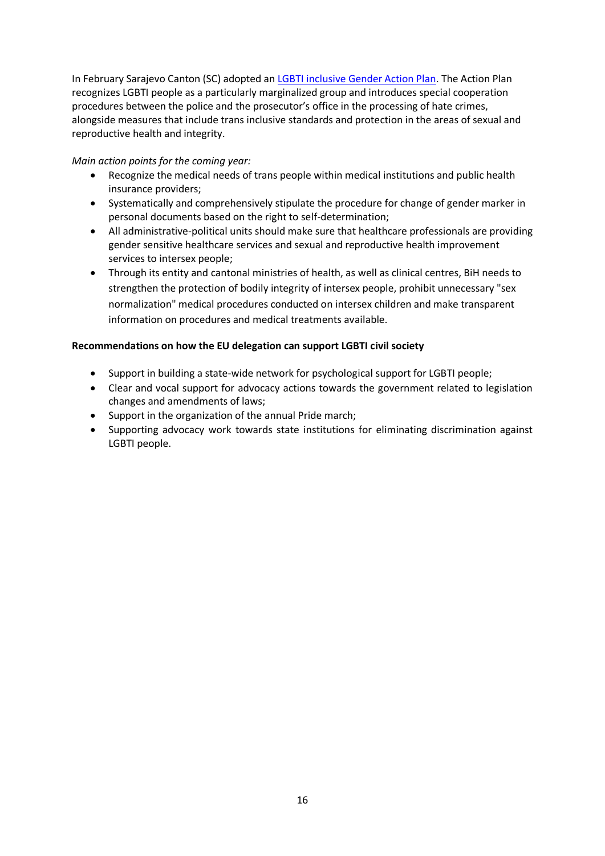In February Sarajevo Canton (SC) adopted an [LGBTI inclusive Gender Action Plan.](https://soc.ba/en/14-socs-initiatives-incorporated-into-the-gender-action-plan-of-sarajevo-canton/) The Action Plan recognizes LGBTI people as a particularly marginalized group and introduces special cooperation procedures between the police and the prosecutor's office in the processing of hate crimes, alongside measures that include trans inclusive standards and protection in the areas of sexual and reproductive health and integrity.

*Main action points for the coming year:*

- Recognize the medical needs of trans people within medical institutions and public health insurance providers;
- Systematically and comprehensively stipulate the procedure for change of gender marker in personal documents based on the right to self-determination;
- All administrative-political units should make sure that healthcare professionals are providing gender sensitive healthcare services and sexual and reproductive health improvement services to intersex people;
- Through its entity and cantonal ministries of health, as well as clinical centres, BiH needs to strengthen the protection of bodily integrity of intersex people, prohibit unnecessary "sex normalization" medical procedures conducted on intersex children and make transparent information on procedures and medical treatments available.

# **Recommendations on how the EU delegation can support LGBTI civil society**

- Support in building a state-wide network for psychological support for LGBTI people;
- Clear and vocal support for advocacy actions towards the government related to legislation changes and amendments of laws;
- Support in the organization of the annual Pride march;
- Supporting advocacy work towards state institutions for eliminating discrimination against LGBTI people.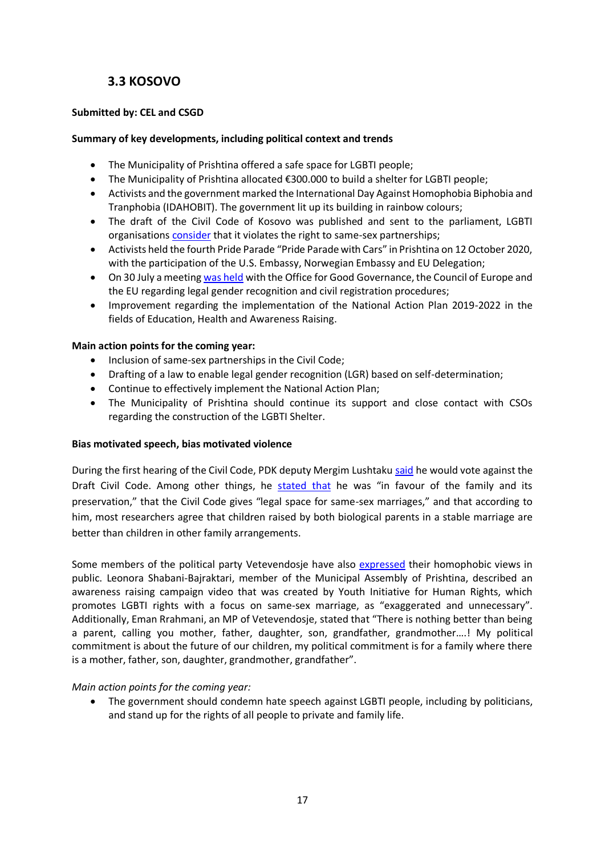# **3.3 KOSOVO**

# <span id="page-17-0"></span>**Submitted by: CEL and CSGD**

# **Summary of key developments, including political context and trends**

- The Municipality of Prishtina offered a safe space for LGBTI people;
- The Municipality of Prishtina allocated €300.000 to build a shelter for LGBTI people;
- Activists and the government marked the International Day Against Homophobia Biphobia and Tranphobia (IDAHOBIT). The government lit up its building in rainbow colours;
- The draft of the Civil Code of Kosovo was published and sent to the parliament, LGBTI organisation[s consider](https://csgd-ks.org/press-release-draft-civil-code-of-kosovo-violates-human-rights/) that it violates the right to same-sex partnerships;
- Activists held the fourth Pride Parade "Pride Parade with Cars" in Prishtina on 12 October 2020, with the participation of the U.S. Embassy, Norwegian Embassy and EU Delegation;
- On 30 July a meetin[g was held](https://csgd-ks.org/consultative-meeting-on-legal-gender-recognition-civil-registration-procedures/) with the Office for Good Governance, the Council of Europe and the EU regarding legal gender recognition and civil registration procedures;
- Improvement regarding the implementation of the National Action Plan 2019-2022 in the fields of Education, Health and Awareness Raising.

## **Main action points for the coming year:**

- Inclusion of same-sex partnerships in the Civil Code;
- Drafting of a law to enable legal gender recognition (LGR) based on self-determination;
- Continue to effectively implement the National Action Plan;
- The Municipality of Prishtina should continue its support and close contact with CSOs regarding the construction of the LGBTI Shelter.

## **Bias motivated speech, bias motivated violence**

During the first hearing of the Civil Code, PDK deputy Mergim Lushtaku [said](https://www.facebook.com/watch/?v=4449952768408052) he would vote against the Draft Civil Code. Among other things, he [stated that](https://kosovotwopointzero.com/en/merkel-the-civil-code-and-same-sex-marriage-in-kosovo/) he was "in favour of the family and its preservation," that the Civil Code gives "legal space for same-sex marriages," and that according to him, most researchers agree that children raised by both biological parents in a stable marriage are better than children in other family arrangements.

Some members of the political party Vetevendosie have also [expressed](https://cel-ks.org/en/komunikate-per-shtyp-komentet-e-disa-anetareve-te-levizjes-vetevendosje-ne-mediat-sociale-jane-ne-kundershtim-me-vlerat-qe-kushtetuta-e-kosoves-i-garanton/?fbclid=IwAR3wcAgUbXIIYYhKBVHhFjGzpOt3t1Gk4_zzK_v4ys9WcGJJSWA2UoIf6aY) their homophobic views in public. Leonora Shabani-Bajraktari, member of the Municipal Assembly of Prishtina, described an awareness raising campaign video that was created by Youth Initiative for Human Rights, which promotes LGBTI rights with a focus on same-sex marriage, as "exaggerated and unnecessary". Additionally, Eman Rrahmani, an MP of Vetevendosje, stated that "There is nothing better than being a parent, calling you mother, father, daughter, son, grandfather, grandmother….! My political commitment is about the future of our children, my political commitment is for a family where there is a mother, father, son, daughter, grandmother, grandfather".

## *Main action points for the coming year:*

• The government should condemn hate speech against LGBTI people, including by politicians, and stand up for the rights of all people to private and family life.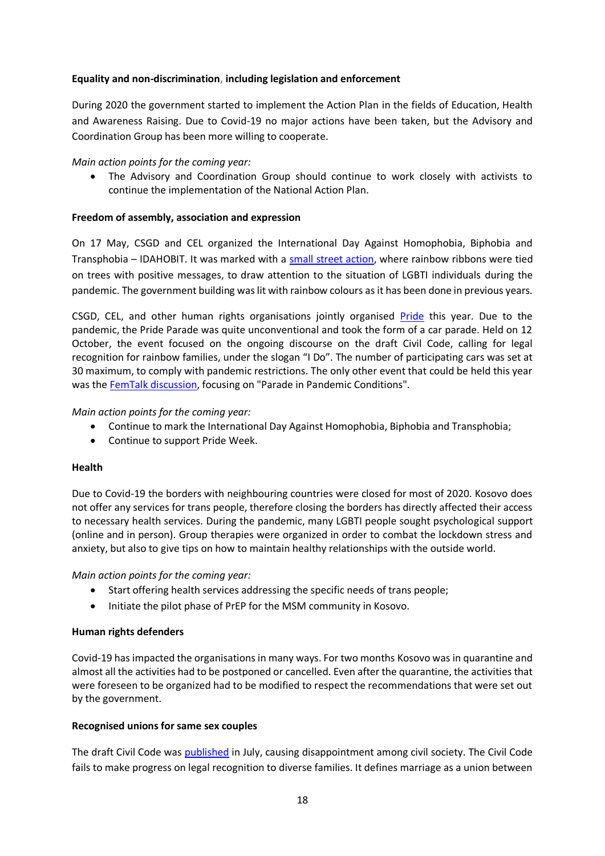# **Equality and non-discrimination, including legislation and enforcement**

During 2020 the government started to implement the Action Plan in the fields of Education, Health and Awareness Raising. Due to Covid-19 no major actions have been taken, but the Advisory and Coordination Group has been more willing to cooperate.

## *Main action points for the coming year:*

• The Advisory and Coordination Group should continue to work closely with activists to continue the implementation of the National Action Plan.

#### **Freedom of assembly, association and expression**

On 17 May, CSGD and CEL organized the International Day Against Homophobia, Biphobia and Transphobia – IDAHOBIT. It was marked with a [small street action,](https://m.facebook.com/csgd.kosova/posts/2960345184027010) where rainbow ribbons were tied on trees with positive messages, to draw attention to the situation of LGBTI individuals during the pandemic. The government building was lit with rainbow colours as it has been done in previous years.

CSGD, CEL, and other human rights organisations jointly organised [Pride](https://m.facebook.com/watch/?v=784151782128716&_rdr) this year. Due to the pandemic, the Pride Parade was quite unconventional and took the form of a car parade. Held on 12 October, the event focused on the ongoing discourse on the draft Civil Code, calling for legal recognition for rainbow families, under the slogan "I Do". The number of participating cars was set at 30 maximum, to comply with pandemic restrictions. The only other event that could be held this year was the FemTalk [discussion,](https://m.facebook.com/watch/?v=784151782128716&_rdr) focusing on "Parade in Pandemic Conditions".

#### *Main action points for the coming year:*

- Continue to mark the International Day Against Homophobia, Biphobia and Transphobia;
- Continue to support Pride Week.

## **Health**

Due to Covid-19 the borders with neighbouring countries were closed for most of 2020. Kosovo does not offer any services for trans people, therefore closing the borders has directly affected their access to necessary health services. During the pandemic, many LGBTI people sought psychological support (online and in person). Group therapies were organized in order to combat the lockdown stress and anxiety, but also to give tips on how to maintain healthy relationships with the outside world.

*Main action points for the coming year:*

- Start offering health services addressing the specific needs of trans people;
- Initiate the pilot phase of PrEP for the MSM community in Kosovo.

## **Human rights defenders**

Covid-19 has impacted the organisations in many ways. For two months Kosovo was in quarantine and almost all the activities had to be postponed or cancelled. Even after the quarantine, the activities that were foreseen to be organized had to be modified to respect the recommendations that were set out by the government.

## **Recognised unions for same sex couples**

The draft Civil Code was [published](https://kosovotwopointzero.com/en/merkel-the-civil-code-and-same-sex-marriage-in-kosovo/) in July, causing disappointment among civil society. The Civil Code fails to make progress on legal recognition to diverse families. It defines marriage as a union between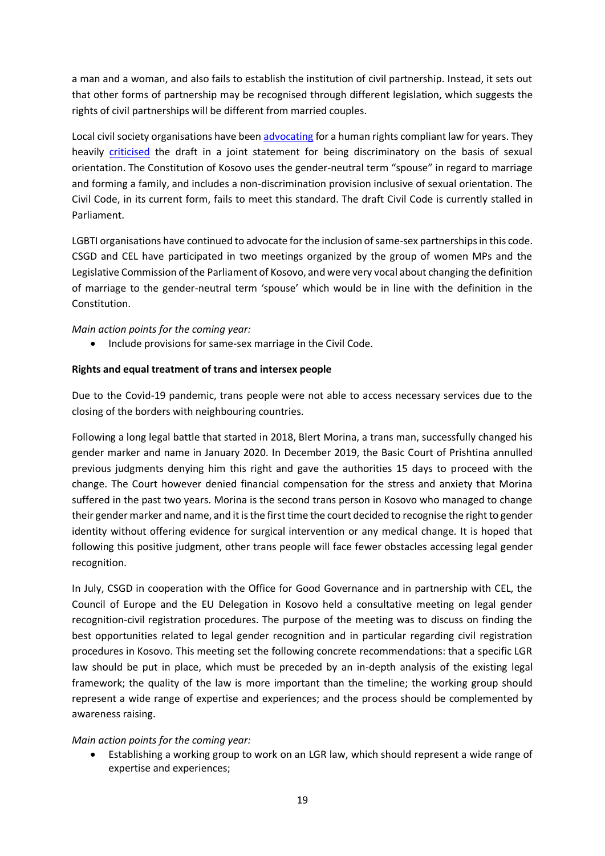a man and a woman, and also fails to establish the institution of civil partnership. Instead, it sets out that other forms of partnership may be recognised through different legislation, which suggests the rights of civil partnerships will be different from married couples.

Local civil society organisations have bee[n advocating](https://www.ilga-europe.org/sites/default/files/2020/kosovo.pdf) for a human rights compliant law for years. They heavily [criticised](https://www.lgbti-era.org/news/draft-civil-code-kosovo-discriminates-lgbti-persons) the draft in a joint statement for being discriminatory on the basis of sexual orientation. The Constitution of Kosovo uses the gender-neutral term "spouse" in regard to marriage and forming a family, and includes a non-discrimination provision inclusive of sexual orientation. The Civil Code, in its current form, fails to meet this standard. The draft Civil Code is currently stalled in Parliament.

LGBTI organisations have continued to advocate for the inclusion of same-sex partnerships in this code. CSGD and CEL have participated in two meetings organized by the group of women MPs and the Legislative Commission of the Parliament of Kosovo, and were very vocal about changing the definition of marriage to the gender-neutral term 'spouse' which would be in line with the definition in the Constitution.

*Main action points for the coming year:*

• Include provisions for same-sex marriage in the Civil Code.

## **Rights and equal treatment of trans and intersex people**

Due to the Covid-19 pandemic, trans people were not able to access necessary services due to the closing of the borders with neighbouring countries.

Following a long legal battle that started in 2018, Blert Morina, a trans man, successfully changed his gender marker and name in January 2020. In December 2019, the Basic Court of Prishtina annulled previous judgments denying him this right and gave the authorities 15 days to proceed with the change. The Court however denied financial compensation for the stress and anxiety that Morina suffered in the past two years. Morina is the second trans person in Kosovo who managed to change their gender marker and name, and it is the first time the court decided to recognise the right to gender identity without offering evidence for surgical intervention or any medical change. It is hoped that following this positive judgment, other trans people will face fewer obstacles accessing legal gender recognition.

In July, CSGD in cooperation with the Office for Good Governance and in partnership with CEL, the Council of Europe and the EU Delegation in Kosovo held a consultative meeting on legal gender recognition-civil registration procedures. The purpose of the meeting was to discuss on finding the best opportunities related to legal gender recognition and in particular regarding civil registration procedures in Kosovo. This meeting set the following concrete recommendations: that a specific LGR law should be put in place, which must be preceded by an in-depth analysis of the existing legal framework; the quality of the law is more important than the timeline; the working group should represent a wide range of expertise and experiences; and the process should be complemented by awareness raising.

## *Main action points for the coming year:*

• Establishing a working group to work on an LGR law, which should represent a wide range of expertise and experiences;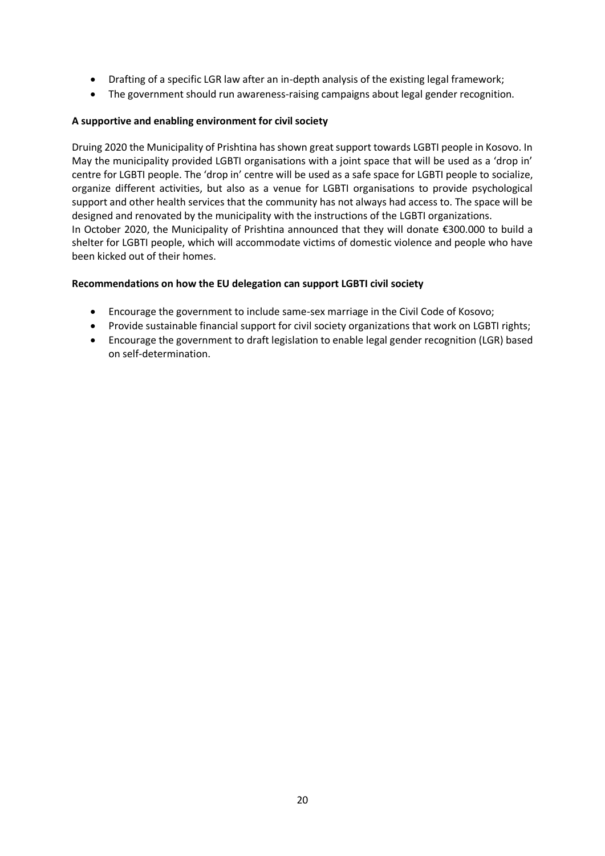- Drafting of a specific LGR law after an in-depth analysis of the existing legal framework;
- The government should run awareness-raising campaigns about legal gender recognition.

## **A supportive and enabling environment for civil society**

Druing 2020 the Municipality of Prishtina has shown great support towards LGBTI people in Kosovo. In May the municipality provided LGBTI organisations with a joint space that will be used as a 'drop in' centre for LGBTI people. The 'drop in' centre will be used as a safe space for LGBTI people to socialize, organize different activities, but also as a venue for LGBTI organisations to provide psychological support and other health services that the community has not always had access to. The space will be designed and renovated by the municipality with the instructions of the LGBTI organizations. In October 2020, the Municipality of Prishtina announced that they will donate €300.000 to build a shelter for LGBTI people, which will accommodate victims of domestic violence and people who have been kicked out of their homes.

## **Recommendations on how the EU delegation can support LGBTI civil society**

- Encourage the government to include same-sex marriage in the Civil Code of Kosovo;
- Provide sustainable financial support for civil society organizations that work on LGBTI rights;
- Encourage the government to draft legislation to enable legal gender recognition (LGR) based on self-determination.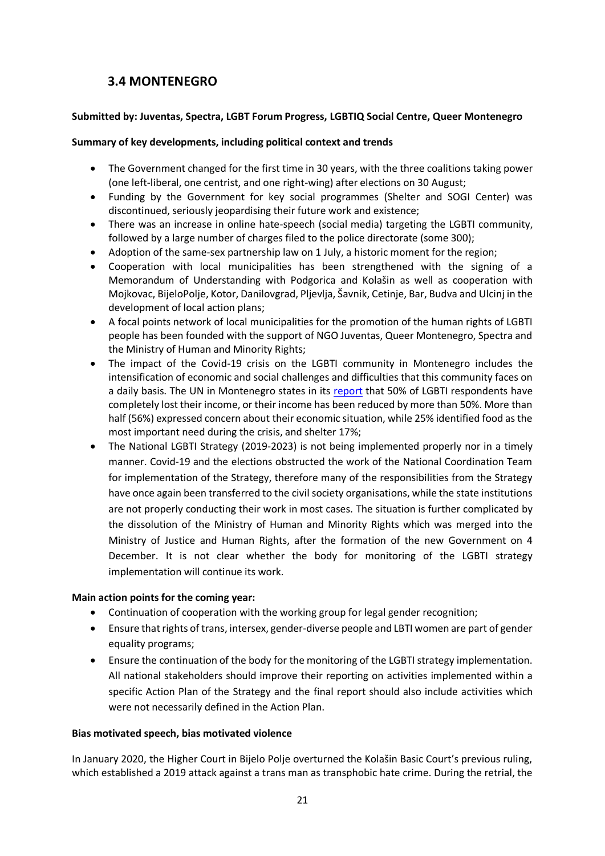# <span id="page-21-0"></span>**3.4 MONTENEGRO**

# **Submitted by: Juventas, Spectra, LGBT Forum Progress, LGBTIQ Social Centre, Queer Montenegro**

# **Summary of key developments, including political context and trends**

- The Government changed for the first time in 30 years, with the three coalitions taking power (one left-liberal, one centrist, and one right-wing) after elections on 30 August;
- Funding by the Government for key social programmes (Shelter and SOGI Center) was discontinued, seriously jeopardising their future work and existence;
- There was an increase in online hate-speech (social media) targeting the LGBTI community, followed by a large number of charges filed to the police directorate (some 300);
- Adoption of the same-sex partnership law on 1 July, a historic moment for the region;
- Cooperation with local municipalities has been strengthened with the signing of a Memorandum of Understanding with Podgorica and Kolašin as well as cooperation with Mojkovac, BijeloPolje, Kotor, Danilovgrad, Pljevlja, Šavnik, Cetinje, Bar, Budva and Ulcinj in the development of local action plans;
- A focal points network of local municipalities for the promotion of the human rights of LGBTI people has been founded with the support of NGO Juventas, Queer Montenegro, Spectra and the Ministry of Human and Minority Rights;
- The impact of the Covid-19 crisis on the LGBTI community in Montenegro includes the intensification of economic and social challenges and difficulties that this community faces on a daily basis. The UN in Montenegro states in its [report](https://montenegro.un.org/sites/default/files/2020-08/The%20UN%20Socio-economic%20response%20plan%20to%20COVID-19%20in%20Montenegro.pdf) that 50% of LGBTI respondents have completely lost their income, or their income has been reduced by more than 50%. More than half (56%) expressed concern about their economic situation, while 25% identified food as the most important need during the crisis, and shelter 17%;
- The National LGBTI Strategy (2019-2023) is not being implemented properly nor in a timely manner. Covid-19 and the elections obstructed the work of the National Coordination Team for implementation of the Strategy, therefore many of the responsibilities from the Strategy have once again been transferred to the civil society organisations, while the state institutions are not properly conducting their work in most cases. The situation is further complicated by the dissolution of the Ministry of Human and Minority Rights which was merged into the Ministry of Justice and Human Rights, after the formation of the new Government on 4 December. It is not clear whether the body for monitoring of the LGBTI strategy implementation will continue its work.

# **Main action points for the coming year:**

- Continuation of cooperation with the working group for legal gender recognition;
- Ensure that rights of trans, intersex, gender-diverse people and LBTI women are part of gender equality programs;
- Ensure the continuation of the body for the monitoring of the LGBTI strategy implementation. All national stakeholders should improve their reporting on activities implemented within a specific Action Plan of the Strategy and the final report should also include activities which were not necessarily defined in the Action Plan.

# **Bias motivated speech, bias motivated violence**

In January 2020, the Higher Court in Bijelo Polje overturned the Kolašin Basic Court's previous ruling, which established a 2019 attack against a trans man as transphobic hate crime. During the retrial, the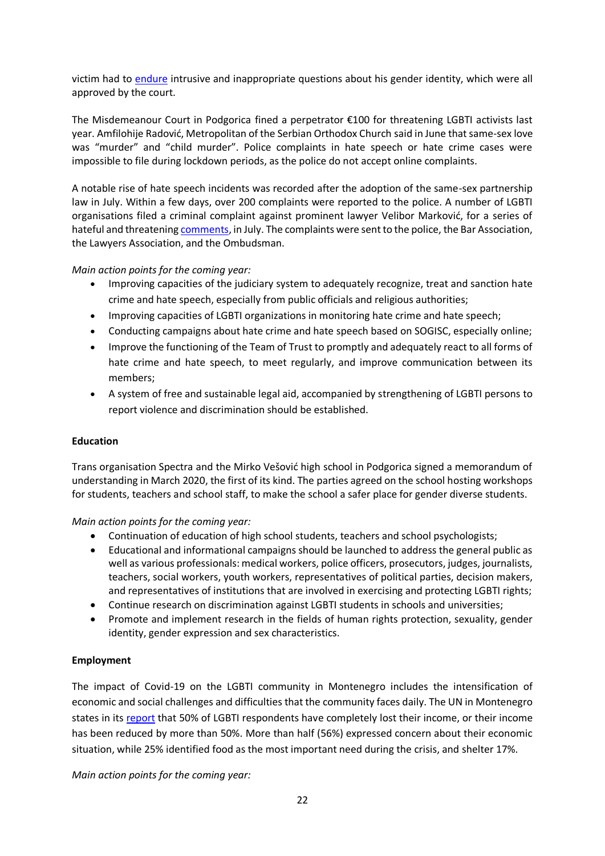victim had to [endure](https://www.vijesti.me/vijesti/crna-hronika/492717/adzic-vise-nece-prisustvovati-rocistima-zrtva-sam-neprimjerenih-pitanja-advokata-odbrane?fbclid=IwAR1i2Ir0myHJYEaFBa6M5WoZo9XV9-F5HMkBjYIogEDQeAn4T9vD_TiiOz8) intrusive and inappropriate questions about his gender identity, which were all approved by the court.

The Misdemeanour Court in Podgorica fined a perpetrator €100 for threatening LGBTI activists last year. Amfilohije Radović, Metropolitan of the Serbian Orthodox Church said in June that same-sex love was "murder" and "child murder". Police complaints in hate speech or hate crime cases were impossible to file during lockdown periods, as the police do not accept online complaints.

A notable rise of hate speech incidents was recorded after the adoption of the same-sex partnership law in July. Within a few days, over 200 complaints were reported to the police. A number of LGBTI organisations filed a criminal complaint against prominent lawyer Velibor Marković, for a series of hateful and threatening [comments,](http://cgo-cce.org/en/2020/07/28/komentari-advokata-markovica-predstavljaju-govor-mrznje-i-prijetnje-prema-lgbt-zajednici/#.X_W0lWhKg2x) in July. The complaints were sent to the police, the Bar Association, the Lawyers Association, and the Ombudsman.

*Main action points for the coming year:*

- Improving capacities of the judiciary system to adequately recognize, treat and sanction hate crime and hate speech, especially from public officials and religious authorities;
- Improving capacities of LGBTI organizations in monitoring hate crime and hate speech;
- Conducting campaigns about hate crime and hate speech based on SOGISC, especially online;
- Improve the functioning of the Team of Trust to promptly and adequately react to all forms of hate crime and hate speech, to meet regularly, and improve communication between its members;
- A system of free and sustainable legal aid, accompanied by strengthening of LGBTI persons to report violence and discrimination should be established.

# **Education**

Trans organisation Spectra and the Mirko Vešović high school in Podgorica signed a memorandum of understanding in March 2020, the first of its kind. The parties agreed on the school hosting workshops for students, teachers and school staff, to make the school a safer place for gender diverse students.

*Main action points for the coming year:*

- Continuation of education of high school students, teachers and school psychologists;
- Educational and informational campaigns should be launched to address the general public as well as various professionals: medical workers, police officers, prosecutors, judges, journalists, teachers, social workers, youth workers, representatives of political parties, decision makers, and representatives of institutions that are involved in exercising and protecting LGBTI rights;
- Continue research on discrimination against LGBTI students in schools and universities;
- Promote and implement research in the fields of human rights protection, sexuality, gender identity, gender expression and sex characteristics.

# **Employment**

The impact of Covid-19 on the LGBTI community in Montenegro includes the intensification of economic and social challenges and difficulties that the community faces daily. The UN in Montenegro states in its [report](https://montenegro.un.org/sites/default/files/2020-08/The%20UN%20Socio-economic%20response%20plan%20to%20COVID-19%20in%20Montenegro.pdf) that 50% of LGBTI respondents have completely lost their income, or their income has been reduced by more than 50%. More than half (56%) expressed concern about their economic situation, while 25% identified food as the most important need during the crisis, and shelter 17%.

*Main action points for the coming year:*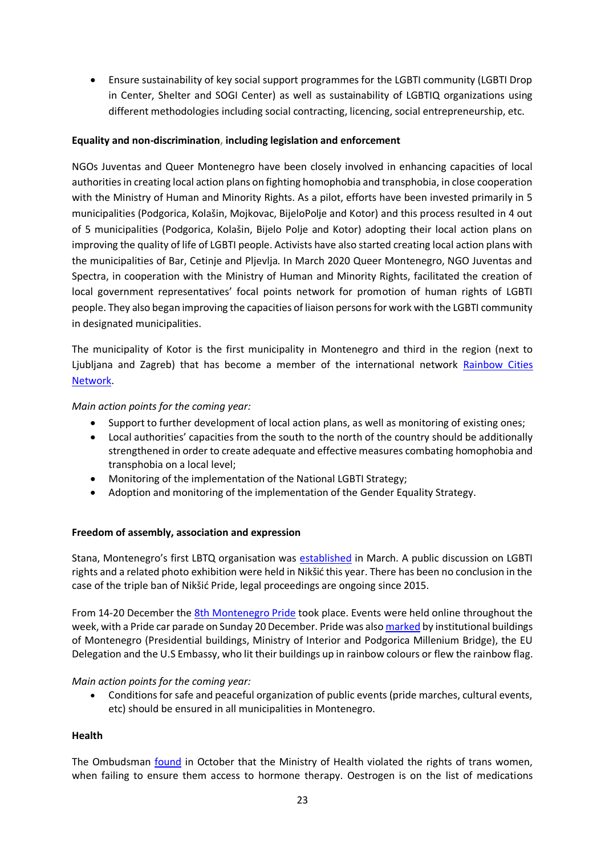• Ensure sustainability of key social support programmes for the LGBTI community (LGBTI Drop in Center, Shelter and SOGI Center) as well as sustainability of LGBTIQ organizations using different methodologies including social contracting, licencing, social entrepreneurship, etc.

# **Equality and non-discrimination, including legislation and enforcement**

NGOs Juventas and Queer Montenegro have been closely involved in enhancing capacities of local authorities in creating local action plans on fighting homophobia and transphobia, in close cooperation with the Ministry of Human and Minority Rights. As a pilot, efforts have been invested primarily in 5 municipalities (Podgorica, Kolašin, Mojkovac, BijeloPolje and Kotor) and this process resulted in 4 out of 5 municipalities (Podgorica, Kolašin, Bijelo Polje and Kotor) adopting their local action plans on improving the quality of life of LGBTI people. Activists have also started creating local action plans with the municipalities of Bar, Cetinje and Pljevlja. In March 2020 Queer Montenegro, NGO Juventas and Spectra, in cooperation with the Ministry of Human and Minority Rights, facilitated the creation of local government representatives' focal points network for promotion of human rights of LGBTI people. They also began improving the capacities of liaison persons for work with the LGBTI community in designated municipalities.

The municipality of Kotor is the first municipality in Montenegro and third in the region (next to Ljubljana and Zagreb) that has become a member of the international network [Rainbow Cities](https://www.rainbowcities.com/cities/kotor/)  [Network.](https://www.rainbowcities.com/cities/kotor/)

# *Main action points for the coming year:*

- Support to further development of local action plans, as well as monitoring of existing ones;
- Local authorities' capacities from the south to the north of the country should be additionally strengthened in order to create adequate and effective measures combating homophobia and transphobia on a local level;
- Monitoring of the implementation of the National LGBTI Strategy;
- Adoption and monitoring of the implementation of the Gender Equality Strategy.

# **Freedom of assembly, association and expression**

Stana, Montenegro's first LBTQ organisation was [established](https://www.lgbti-era.org/news/stana-lbtq-womens-organisation-established-montenegro) in March. A public discussion on LGBTI rights and a related photo exhibition were held in Nikšić this year. There has been no conclusion in the case of the triple ban of Nikšić Pride, legal proceedings are ongoing since 2015.

From 14-20 December the [8th Montenegro Pride](http://www.prcentar.me/clanak/osmim-montenegro-prajdom-digli-glas-protiv-svega-negativnog-to-se-u-drutvu-deava/1470?fbclid=IwAR2pfXMn_HVEToRzaaatS_30wawxcgiBgU2P8ecAIrwAcFF8TngrJ5Mcbo8) took place. Events were held online throughout the week, with a Pride car parade on Sunday 20 December. Pride was als[o marked](http://prcentar.me/clanak/osvjetljavanjem-institucija-i-objekata-dali-podrku-montenegro-prajdu-i-lgbtiq-osobama/1471?fbclid=IwAR2e1e23sEU5EkmB6zTVKSkn1__-EmqCiZ3nvd-CrWAOe97hVeuoLFundF8) by institutional buildings of Montenegro (Presidential buildings, Ministry of Interior and Podgorica Millenium Bridge), the EU Delegation and the U.S Embassy, who lit their buildings up in rainbow colours or flew the rainbow flag.

## *Main action points for the coming year:*

• Conditions for safe and peaceful organization of public events (pride marches, cultural events, etc) should be ensured in all municipalities in Montenegro.

## **Health**

The Ombudsman [found](https://www.ombudsman.co.me/docs/1604666965_29102020-prpeoruka-mz.pdf) in October that the Ministry of Health violated the rights of trans women, when failing to ensure them access to hormone therapy. Oestrogen is on the list of medications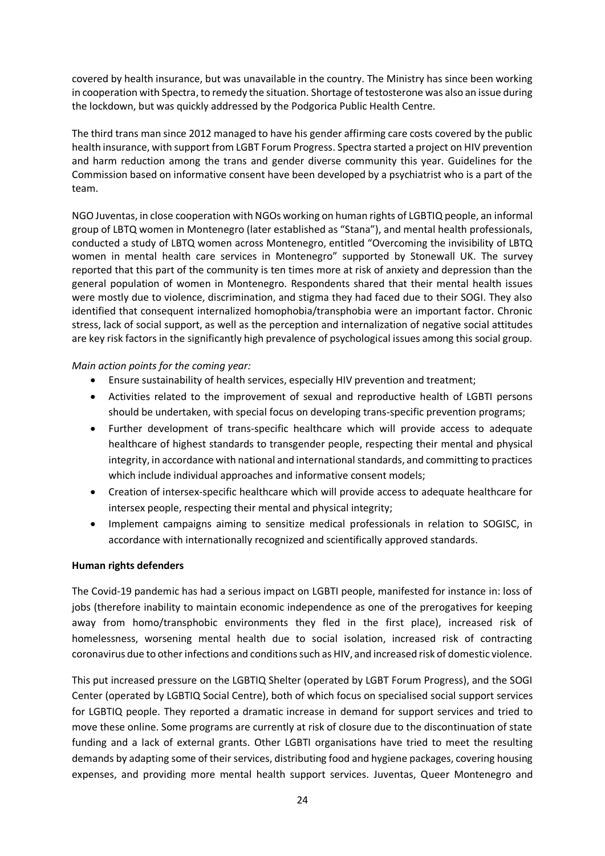covered by health insurance, but was unavailable in the country. The Ministry has since been working in cooperation with Spectra, to remedy the situation. Shortage of testosterone was also an issue during the lockdown, but was quickly addressed by the Podgorica Public Health Centre.

The third trans man since 2012 managed to have his gender affirming care costs covered by the public health insurance, with support from LGBT Forum Progress. Spectra started a project on HIV prevention and harm reduction among the trans and gender diverse community this year. Guidelines for the Commission based on informative consent have been developed by a psychiatrist who is a part of the team.

NGO Juventas, in close cooperation with NGOs working on human rights of LGBTIQ people, an informal group of LBTQ women in Montenegro (later established as "Stana"), and mental health professionals, conducted a study of LBTQ women across Montenegro, entitled "Overcoming the invisibility of LBTQ women in mental health care services in Montenegro" supported by Stonewall UK. The survey reported that this part of the community is ten times more at risk of anxiety and depression than the general population of women in Montenegro. Respondents shared that their mental health issues were mostly due to violence, discrimination, and stigma they had faced due to their SOGI. They also identified that consequent internalized homophobia/transphobia were an important factor. Chronic stress, lack of social support, as well as the perception and internalization of negative social attitudes are key risk factors in the significantly high prevalence of psychological issues among this social group.

## *Main action points for the coming year:*

- Ensure sustainability of health services, especially HIV prevention and treatment;
- Activities related to the improvement of sexual and reproductive health of LGBTI persons should be undertaken, with special focus on developing trans-specific prevention programs;
- Further development of trans-specific healthcare which will provide access to adequate healthcare of highest standards to transgender people, respecting their mental and physical integrity, in accordance with national and international standards, and committing to practices which include individual approaches and informative consent models;
- Creation of intersex-specific healthcare which will provide access to adequate healthcare for intersex people, respecting their mental and physical integrity;
- Implement campaigns aiming to sensitize medical professionals in relation to SOGISC, in accordance with internationally recognized and scientifically approved standards.

## **Human rights defenders**

The Covid-19 pandemic has had a serious impact on LGBTI people, manifested for instance in: loss of jobs (therefore inability to maintain economic independence as one of the prerogatives for keeping away from homo/transphobic environments they fled in the first place), increased risk of homelessness, worsening mental health due to social isolation, increased risk of contracting coronavirus due to other infections and conditions such as HIV, and increased risk of domestic violence.

This put increased pressure on the LGBTIQ Shelter (operated by LGBT Forum Progress), and the SOGI Center (operated by LGBTIQ Social Centre), both of which focus on specialised social support services for LGBTIQ people. They reported a dramatic increase in demand for support services and tried to move these online. Some programs are currently at risk of closure due to the discontinuation of state funding and a lack of external grants. Other LGBTI organisations have tried to meet the resulting demands by adapting some of their services, distributing food and hygiene packages, covering housing expenses, and providing more mental health support services. Juventas, Queer Montenegro and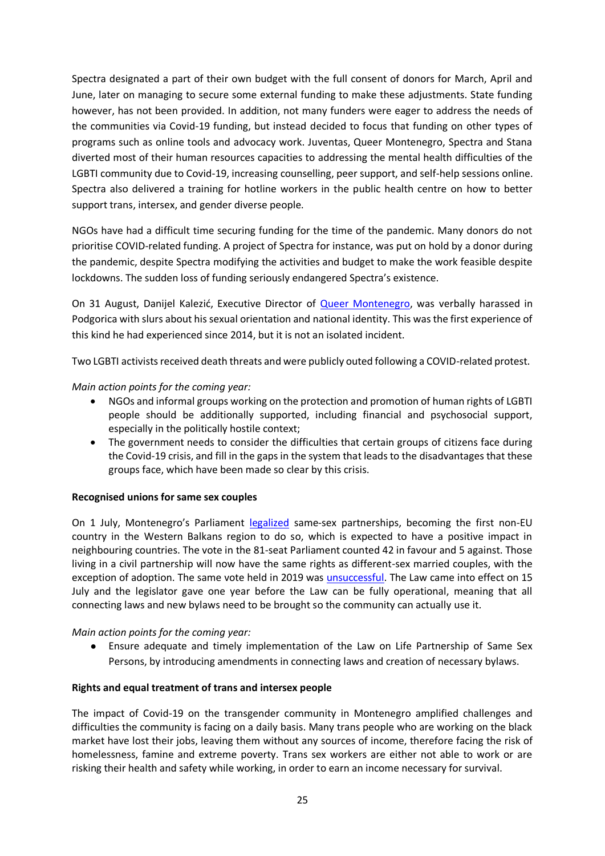Spectra designated a part of their own budget with the full consent of donors for March, April and June, later on managing to secure some external funding to make these adjustments. State funding however, has not been provided. In addition, not many funders were eager to address the needs of the communities via Covid-19 funding, but instead decided to focus that funding on other types of programs such as online tools and advocacy work. Juventas, Queer Montenegro, Spectra and Stana diverted most of their human resources capacities to addressing the mental health difficulties of the LGBTI community due to Covid-19, increasing counselling, peer support, and self-help sessions online. Spectra also delivered a training for hotline workers in the public health centre on how to better support trans, intersex, and gender diverse people.

NGOs have had a difficult time securing funding for the time of the pandemic. Many donors do not prioritise COVID-related funding. A project of Spectra for instance, was put on hold by a donor during the pandemic, despite Spectra modifying the activities and budget to make the work feasible despite lockdowns. The sudden loss of funding seriously endangered Spectra's existence.

On 31 August, Danijel Kalezić, Executive Director of **Queer Montenegro**, was verbally harassed in Podgorica with slurs about his sexual orientation and national identity. This was the first experience of this kind he had experienced since 2014, but it is not an isolated incident.

Two LGBTI activists received death threats and were publicly outed following a COVID-related protest.

*Main action points for the coming year:*

- NGOs and informal groups working on the protection and promotion of human rights of LGBTI people should be additionally supported, including financial and psychosocial support, especially in the politically hostile context;
- The government needs to consider the difficulties that certain groups of citizens face during the Covid-19 crisis, and fill in the gaps in the system that leads to the disadvantages that these groups face, which have been made so clear by this crisis.

## **Recognised unions for same sex couples**

On 1 July, Montenegro's Parliament [legalized](https://www.dw.com/en/montenegro-parliament-legalizes-same-sex-civil-partnerships/a-54020034) same-sex partnerships, becoming the first non-EU country in the Western Balkans region to do so, which is expected to have a positive impact in neighbouring countries. The vote in the 81-seat Parliament counted 42 in favour and 5 against. Those living in a civil partnership will now have the same rights as different-sex married couples, with the exception of adoption. The same vote held in 2019 was [unsuccessful.](https://www.ilga-europe.org/sites/default/files/2020/montenegro.pdf) The Law came into effect on 15 July and the legislator gave one year before the Law can be fully operational, meaning that all connecting laws and new bylaws need to be brought so the community can actually use it.

*Main action points for the coming year:*

● Ensure adequate and timely implementation of the Law on Life Partnership of Same Sex Persons, by introducing amendments in connecting laws and creation of necessary bylaws.

## **Rights and equal treatment of trans and intersex people**

The impact of Covid-19 on the transgender community in Montenegro amplified challenges and difficulties the community is facing on a daily basis. Many trans people who are working on the black market have lost their jobs, leaving them without any sources of income, therefore facing the risk of homelessness, famine and extreme poverty. Trans sex workers are either not able to work or are risking their health and safety while working, in order to earn an income necessary for survival.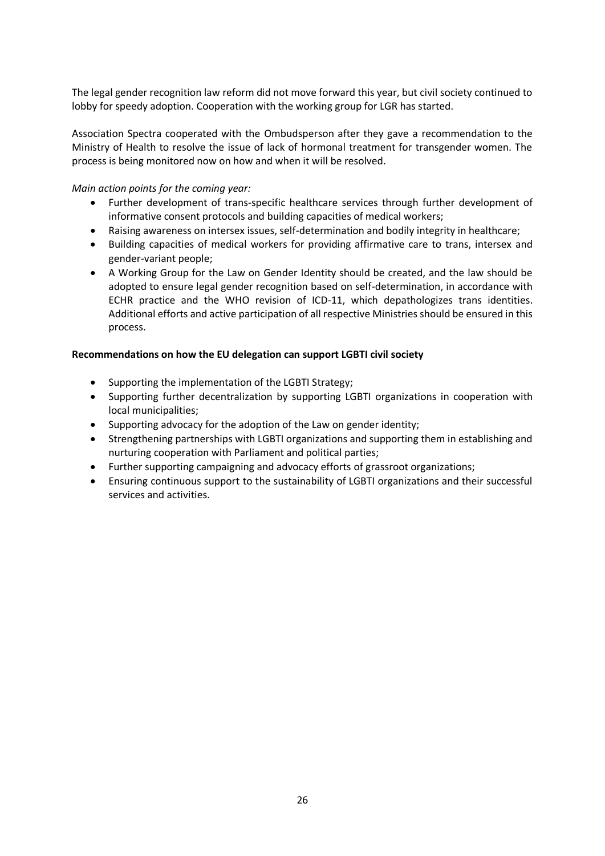The legal gender recognition law reform did not move forward this year, but civil society continued to lobby for speedy adoption. Cooperation with the working group for LGR has started.

Association Spectra cooperated with the Ombudsperson after they gave a recommendation to the Ministry of Health to resolve the issue of lack of hormonal treatment for transgender women. The process is being monitored now on how and when it will be resolved.

## *Main action points for the coming year:*

- Further development of trans-specific healthcare services through further development of informative consent protocols and building capacities of medical workers;
- Raising awareness on intersex issues, self-determination and bodily integrity in healthcare;
- Building capacities of medical workers for providing affirmative care to trans, intersex and gender-variant people;
- A Working Group for the Law on Gender Identity should be created, and the law should be adopted to ensure legal gender recognition based on self-determination, in accordance with ECHR practice and the WHO revision of ICD-11, which depathologizes trans identities. Additional efforts and active participation of all respective Ministries should be ensured in this process.

## **Recommendations on how the EU delegation can support LGBTI civil society**

- Supporting the implementation of the LGBTI Strategy;
- Supporting further decentralization by supporting LGBTI organizations in cooperation with local municipalities;
- Supporting advocacy for the adoption of the Law on gender identity;
- Strengthening partnerships with LGBTI organizations and supporting them in establishing and nurturing cooperation with Parliament and political parties;
- Further supporting campaigning and advocacy efforts of grassroot organizations;
- Ensuring continuous support to the sustainability of LGBTI organizations and their successful services and activities.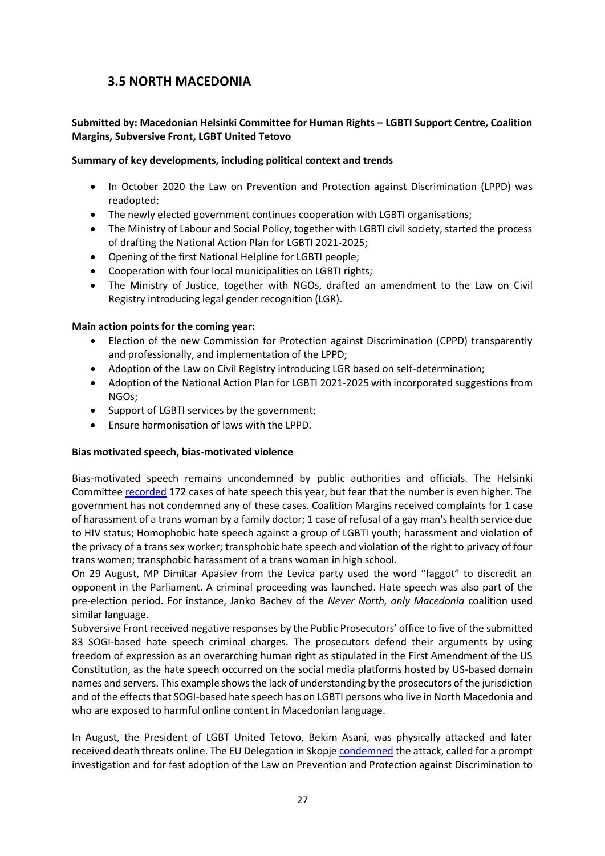# <span id="page-27-0"></span>**3.5 NORTH MACEDONIA**

# **Submitted by: Macedonian Helsinki Committee for Human Rights – LGBTI Support Centre, Coalition Margins, Subversive Front, LGBT United Tetovo**

## **Summary of key developments, including political context and trends**

- In October 2020 the Law on Prevention and Protection against Discrimination (LPPD) was readopted;
- The newly elected government continues cooperation with LGBTI organisations;
- The Ministry of Labour and Social Policy, together with LGBTI civil society, started the process of drafting the National Action Plan for LGBTI 2021-2025;
- Opening of the first National Helpline for LGBTI people;
- Cooperation with four local municipalities on LGBTI rights;
- The Ministry of Justice, together with NGOs, drafted an amendment to the Law on Civil Registry introducing legal gender recognition (LGR).

## **Main action points for the coming year:**

- Election of the new Commission for Protection against Discrimination (CPPD) transparently and professionally, and implementation of the LPPD;
- Adoption of the Law on Civil Registry introducing LGR based on self-determination;
- Adoption of the National Action Plan for LGBTI 2021-2025 with incorporated suggestions from NGOs;
- Support of LGBTI services by the government;
- Ensure harmonisation of laws with the LPPD.

# **Bias motivated speech, bias-motivated violence**

Bias-motivated speech remains uncondemned by public authorities and officials. The Helsinki Committee [recorded](http://govornaomraza.mk/) 172 cases of hate speech this year, but fear that the number is even higher. The government has not condemned any of these cases. Coalition Margins received complaints for 1 case of harassment of a trans woman by a family doctor; 1 case of refusal of a gay man's health service due to HIV status; Homophobic hate speech against a group of LGBTI youth; harassment and violation of the privacy of a trans sex worker; transphobic hate speech and violation of the right to privacy of four trans women; transphobic harassment of a trans woman in high school.

On 29 August, MP Dimitar Apasiev from the Levica party used the word "faggot" to discredit an opponent in the Parliament. A criminal proceeding was launched. Hate speech was also part of the pre-election period. For instance, Janko Bachev of the *Never North, only Macedonia* coalition used similar language.

Subversive Front received negative responses by the Public Prosecutors' office to five of the submitted 83 SOGI-based hate speech criminal charges. The prosecutors defend their arguments by using freedom of expression as an overarching human right as stipulated in the First Amendment of the US Constitution, as the hate speech occurred on the social media platforms hosted by US-based domain names and servers. This example shows the lack of understanding by the prosecutors of the jurisdiction and of the effects that SOGI-based hate speech has on LGBTI persons who live in North Macedonia and who are exposed to harmful online content in Macedonian language.

In August, the President of LGBT United Tetovo, Bekim Asani, was physically attacked and later received death threats online. The EU Delegation in Skopje [condemned](https://eeas.europa.eu/delegations/republic-north-macedonia/84031/statement-eu-delegation-republic-north-macedonia-attack-lgbti-activist-bekim-asani_en) the attack, called for a prompt investigation and for fast adoption of the Law on Prevention and Protection against Discrimination to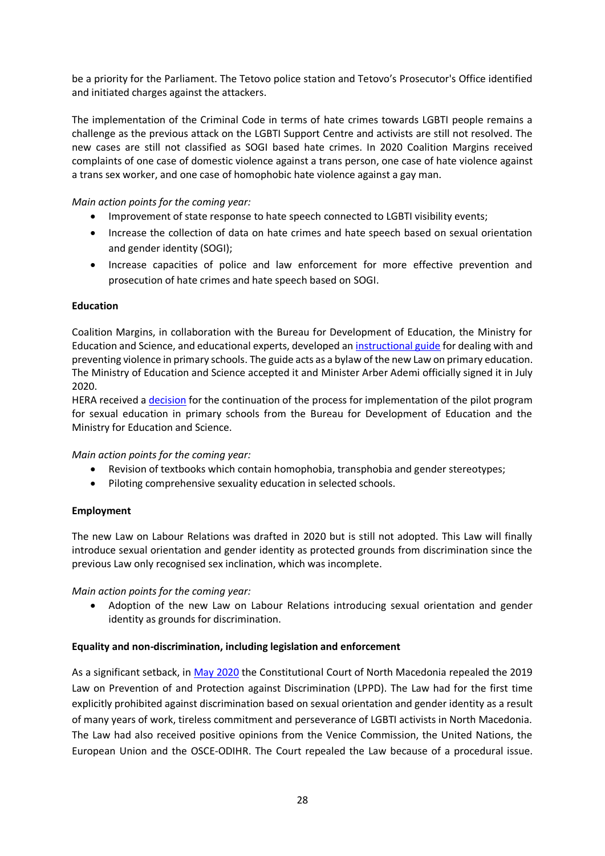be a priority for the Parliament. The Tetovo police station and Tetovo's Prosecutor's Office identified and initiated charges against the attackers.

The implementation of the Criminal Code in terms of hate crimes towards LGBTI people remains a challenge as the previous attack on the LGBTI Support Centre and activists are still not resolved. The new cases are still not classified as SOGI based hate crimes. In 2020 Coalition Margins received complaints of one case of domestic violence against a trans person, one case of hate violence against a trans sex worker, and one case of homophobic hate violence against a gay man.

# *Main action points for the coming year:*

- Improvement of state response to hate speech connected to LGBTI visibility events;
- Increase the collection of data on hate crimes and hate speech based on sexual orientation and gender identity (SOGI);
- Increase capacities of police and law enforcement for more effective prevention and prosecution of hate crimes and hate speech based on SOGI.

## **Education**

Coalition Margins, in collaboration with the Bureau for Development of Education, the Ministry for Education and Science, and educational experts, developed an [instructional guide](http://mrk.mk/wp-content/uploads/2020/07/%D0%A3%D0%BF%D0%B0%D1%82%D1%81%D1%82%D0%B2%D0%BE-%D0%B7%D0%B0-%D0%BF%D0%BE%D1%81%D1%82%D0%B0%D0%BF%D0%BA%D0%B0%D1%82%D0%B0-%D0%B7%D0%B0-%D0%BF%D1%80%D0%B8%D1%98%D0%B0%D0%B2%D1%83%D0%B2%D0%B0%D1%9A%D0%B5-%D0%B8-%D0%B7%D0%B0%D1%88%D1%82%D0%B8%D1%82%D0%B0-%D0%BD%D0%B0-%D1%83%D1%87%D0%B5%D0%BD%D0%B8%D0%BA-%D0%B6%D1%80%D1%82%D0%B2%D0%B0-%D0%BD%D0%B0-%D0%BA%D0%BE%D1%98%D0%B0-%D0%B1%D0%B8%D0%BB%D0%BE-%D0%BE%D0%B4-%D1%84%D0%BE%D1%80%D0%BC%D0%B8%D1%82%D0%B5-%D0%BD%D0%B0-%D0%BD%D0%B0%D1%81%D0%B8%D0%BB%D1%81%D1%82%D0%B2%D0%BE-%D0%B7%D0%BB%D0%BE%D1%83%D0%BF%D0%BE%D1%82%D1%80%D0%B5%D0%B1%D0%B0-%D0%B8-%D0%B7%D0%B0%D0%BD%D0%B5%D0%BC%D0%B0%D1%80%D1%83%D0%B2%D0%B0%D1%9A%D0%B5.pdf) for dealing with and preventing violence in primary schools. The guide acts as a bylaw of the new Law on primary education. The Ministry of Education and Science accepted it and Minister Arber Ademi officially signed it in July 2020.

HERA received a [decision](http://mon.gov.mk/content/?id=3543) for the continuation of the process for implementation of the pilot program for sexual education in primary schools from the Bureau for Development of Education and the Ministry for Education and Science.

## *Main action points for the coming year:*

- Revision of textbooks which contain homophobia, transphobia and gender stereotypes;
- Piloting comprehensive sexuality education in selected schools.

## **Employment**

The new Law on Labour Relations was drafted in 2020 but is still not adopted. This Law will finally introduce sexual orientation and gender identity as protected grounds from discrimination since the previous Law only recognised sex inclination, which was incomplete.

## *Main action points for the coming year:*

• Adoption of the new Law on Labour Relations introducing sexual orientation and gender identity as grounds for discrimination.

## **Equality and non-discrimination, including legislation and enforcement**

As a significant setback, in [May](https://www.ilga-europe.org/resources/news/latest-news/decision-constitutional-court-north-macedonia-lppd) 2020 the Constitutional Court of North Macedonia repealed the 2019 Law on Prevention of and Protection against Discrimination (LPPD). The Law had for the first time explicitly prohibited against discrimination based on sexual orientation and gender identity as a result of many years of work, tireless commitment and perseverance of LGBTI activists in North Macedonia. The Law had also received positive opinions from the Venice Commission, the United Nations, the European Union and the OSCE-ODIHR. The Court repealed the Law because of a procedural issue.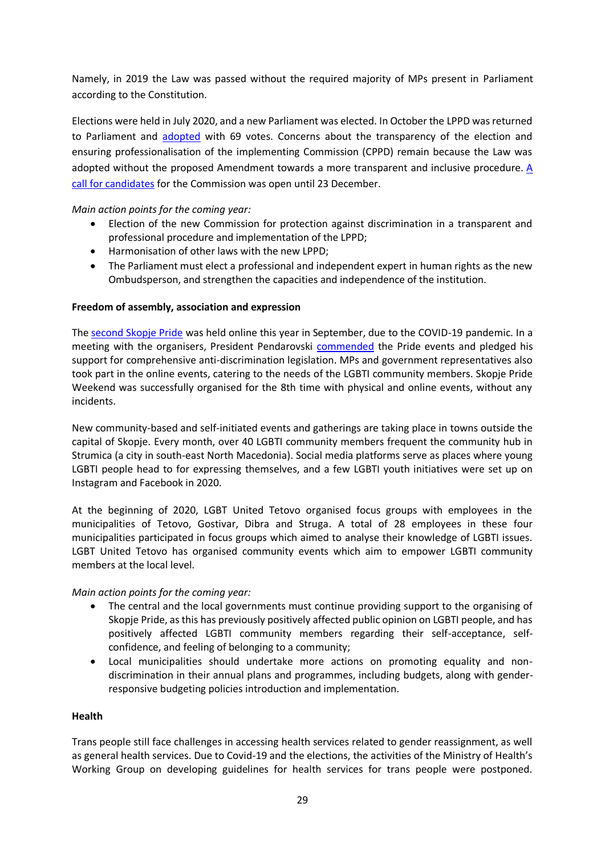Namely, in 2019 the Law was passed without the required majority of MPs present in Parliament according to the Constitution.

Elections were held in July 2020, and a new Parliament was elected. In October the LPPD was returned to Parliament and [adopted](https://mhc.org.mk/news/konechno-usvoen-zakon-za-antidiskriminacija-barame-brz-i-transparenten-izbor-na-soodvetnata-komisija/) with 69 votes. Concerns about the transparency of the election and ensuring professionalisation of the implementing Commission (CPPD) remain because the Law was adopted without the proposed Amendment towards a more transparent and inclusive procedure. [A](https://www.sobranie.mk/content/Javen%20oglas-diskriminacija/Ogals-%20diskriminacija%2024.11.20.pdf)  [call for candidates](https://www.sobranie.mk/content/Javen%20oglas-diskriminacija/Ogals-%20diskriminacija%2024.11.20.pdf) for the Commission was open until 23 December.

# *Main action points for the coming year:*

- Election of the new Commission for protection against discrimination in a transparent and professional procedure and implementation of the LPPD;
- Harmonisation of other laws with the new LPPD;
- The Parliament must elect a professional and independent expert in human rights as the new Ombudsperson, and strengthen the capacities and independence of the institution.

## **Freedom of assembly, association and expression**

The [second Skopje Pride](https://developers.facebook.com/docs/plugins/embedded-posts/?prefill_href=https%3A%2F%2Fwww.facebook.com%2FSkopjePride%2Fposts%2F566748117330373&__cft__%5B0%5D=AZXuSl3iESb7LzECBgNjvVlDLYQ5DqM1VjE2vihTkBQ74D65QzItm0IgLcbC5gUCN47g2x0FxbDeLslf4xmeDNCS0qXhCjnlZaunD_580ZjzGtEYLL75Hk5YE4pYSOvNKD0Cg3-h1Tn-Hl9YlLkEkQ7J9pwVdtxwNAoIwCUT0Ib-9ou2CDEV6lm3PT8nyvG3DCw&__tn__=p%2CP-R#code-generator) was held online this year in September, due to the COVID-19 pandemic. In a meeting with the organisers, President Pendarovski [commended](https://mia.mk/president-pendarovski-meets-skopje-pride-organisers/?lang=en) the Pride events and pledged his support for comprehensive anti-discrimination legislation. MPs and government representatives also took part in the online events, catering to the needs of the LGBTI community members. Skopje Pride Weekend was successfully organised for the 8th time with physical and online events, without any incidents.

New community-based and self-initiated events and gatherings are taking place in towns outside the capital of Skopje. Every month, over 40 LGBTI community members frequent the community hub in Strumica (a city in south-east North Macedonia). Social media platforms serve as places where young LGBTI people head to for expressing themselves, and a few LGBTI youth initiatives were set up on Instagram and Facebook in 2020.

At the beginning of 2020, LGBT United Tetovo organised focus groups with employees in the municipalities of Tetovo, Gostivar, Dibra and Struga. A total of 28 employees in these four municipalities participated in focus groups which aimed to analyse their knowledge of LGBTI issues. LGBT United Tetovo has organised community events which aim to empower LGBTI community members at the local level.

## *Main action points for the coming year:*

- The central and the local governments must continue providing support to the organising of Skopje Pride, as this has previously positively affected public opinion on LGBTI people, and has positively affected LGBTI community members regarding their self-acceptance, selfconfidence, and feeling of belonging to a community;
- Local municipalities should undertake more actions on promoting equality and nondiscrimination in their annual plans and programmes, including budgets, along with genderresponsive budgeting policies introduction and implementation.

## **Health**

Trans people still face challenges in accessing health services related to gender reassignment, as well as general health services. Due to Covid-19 and the elections, the activities of the Ministry of Health's Working Group on developing guidelines for health services for trans people were postponed.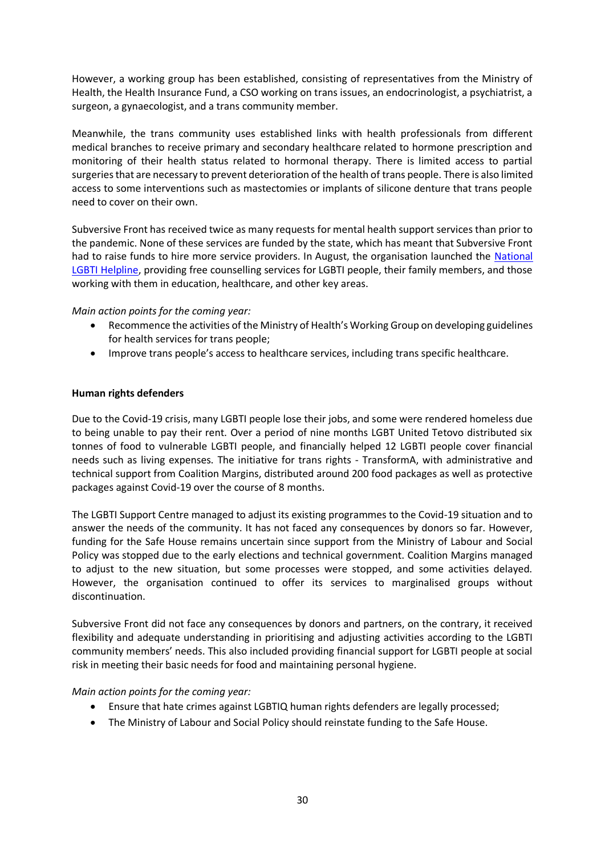However, a working group has been established, consisting of representatives from the Ministry of Health, the Health Insurance Fund, a CSO working on trans issues, an endocrinologist, a psychiatrist, a surgeon, a gynaecologist, and a trans community member.

Meanwhile, the trans community uses established links with health professionals from different medical branches to receive primary and secondary healthcare related to hormone prescription and monitoring of their health status related to hormonal therapy. There is limited access to partial surgeries that are necessary to prevent deterioration of the health of trans people. There is also limited access to some interventions such as mastectomies or implants of silicone denture that trans people need to cover on their own.

Subversive Front has received twice as many requests for mental health support services than prior to the pandemic. None of these services are funded by the state, which has meant that Subversive Front had to raise funds to hire more service providers. In August, the organisation launched the [National](https://www.facebook.com/LGBTIlinija)  [LGBTI Helpline,](https://www.facebook.com/LGBTIlinija) providing free counselling services for LGBTI people, their family members, and those working with them in education, healthcare, and other key areas.

## *Main action points for the coming year:*

- Recommence the activities of the Ministry of Health's Working Group on developing guidelines for health services for trans people;
- Improve trans people's access to healthcare services, including trans specific healthcare.

## **Human rights defenders**

Due to the Covid-19 crisis, many LGBTI people lose their jobs, and some were rendered homeless due to being unable to pay their rent. Over a period of nine months LGBT United Tetovo distributed six tonnes of food to vulnerable LGBTI people, and financially helped 12 LGBTI people cover financial needs such as living expenses. The initiative for trans rights - TransformA, with administrative and technical support from Coalition Margins, distributed around 200 food packages as well as protective packages against Covid-19 over the course of 8 months.

The LGBTI Support Centre managed to adjust its existing programmes to the Covid-19 situation and to answer the needs of the community. It has not faced any consequences by donors so far. However, funding for the Safe House remains uncertain since support from the Ministry of Labour and Social Policy was stopped due to the early elections and technical government. Coalition Margins managed to adjust to the new situation, but some processes were stopped, and some activities delayed. However, the organisation continued to offer its services to marginalised groups without discontinuation.

Subversive Front did not face any consequences by donors and partners, on the contrary, it received flexibility and adequate understanding in prioritising and adjusting activities according to the LGBTI community members' needs. This also included providing financial support for LGBTI people at social risk in meeting their basic needs for food and maintaining personal hygiene.

## *Main action points for the coming year:*

- Ensure that hate crimes against LGBTIQ human rights defenders are legally processed;
- The Ministry of Labour and Social Policy should reinstate funding to the Safe House.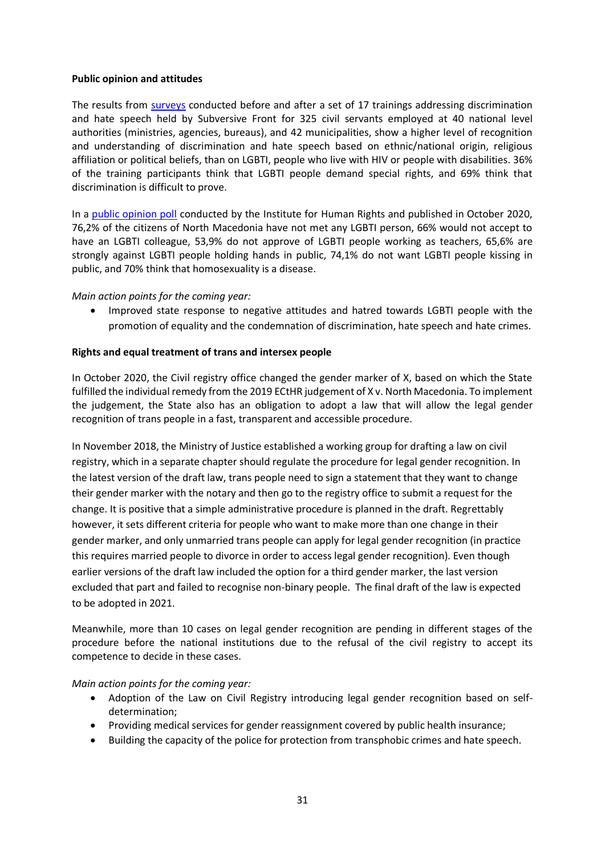## **Public opinion and attitudes**

The results from [surveys](https://www.youtube.com/watch?v=VsidNi-TOzM&t=5s) conducted before and after a set of 17 trainings addressing discrimination and hate speech held by Subversive Front for 325 civil servants employed at 40 national level authorities (ministries, agencies, bureaus), and 42 municipalities, show а higher level of recognition and understanding of discrimination and hate speech based on ethnic/national origin, religious affiliation or political beliefs, than on LGBTI, people who live with HIV or people with disabilities. 36% of the training participants think that LGBTI people demand special rights, and 69% think that discrimination is difficult to prove.

In a [public opinion poll](https://www.ihr.org.mk/storage/app/media/Publications/%D0%9E%D1%86%D0%B5%D0%BD%D0%BA%D0%B0%20%D0%BD%D0%B0%20%D1%98%D0%B0%D0%B2%D0%BD%D0%BE%D1%82%D0%BE%20%D0%BC%D0%B8%D1%81%D0%BB%D0%B5%D1%9A%D0%B5%20%D0%B8%20%D0%BD%D0%B8%D0%B2%D0%BE%D1%82%D0%BE%20%D0%BD%D0%B0%20%D0%BF%D0%B5%D1%80%D1%86%D0%B5%D0%BF%D1%86%D0%B8%D1%98%D0%B0%20%D0%B7%D0%B0%20%D0%A1%D0%9E%20%D0%B8%20%D0%A0%D0%98%20%D0%BA%D0%B0%D0%BA%D0%BE%20%D0%BE%D1%81%D0%BD%D0%BE%D0%B2%D0%B8%20%D0%B7%D0%B0%20%D1%83%D1%82%D0%B2%D1%80%D0%B4%D1%83%D0%B2%D0%B0%D1%9A%D0%B5%20%D0%B4%D0%B8%D1%81%D0%BA%D1%80%D0%B8%D0%BC%D0%B8%D0%BD%D0%B0%D1%86%D0%B8%D1%98%D0%B0%20-%202020.pdf) conducted by the Institute for Human Rights and published in October 2020, 76,2% of the citizens of North Macedonia have not met any LGBTI person, 66% would not accept to have an LGBTI colleague, 53,9% do not approve of LGBTI people working as teachers, 65,6% are strongly against LGBTI people holding hands in public, 74,1% do not want LGBTI people kissing in public, and 70% think that homosexuality is a disease.

#### *Main action points for the coming year:*

• Improved state response to negative attitudes and hatred towards LGBTI people with the promotion of equality and the condemnation of discrimination, hate speech and hate crimes.

#### **Rights and equal treatment of trans and intersex people**

In October 2020, the Civil registry office changed the gender marker of X, based on which the State fulfilled the individual remedy from the 2019 ECtHR judgement of X v. North Macedonia. To implement the judgement, the State also has an obligation to adopt a law that will allow the legal gender recognition of trans people in a fast, transparent and accessible procedure.

In November 2018, the Ministry of Justice established a working group for drafting a law on civil registry, which in a separate chapter should regulate the procedure for legal gender recognition. In the latest version of the draft law, trans people need to sign a statement that they want to change their gender marker with the notary and then go to the registry office to submit a request for the change. It is positive that a simple administrative procedure is planned in the draft. Regrettably however, it sets different criteria for people who want to make more than one change in their gender marker, and only unmarried trans people can apply for legal gender recognition (in practice this requires married people to divorce in order to access legal gender recognition). Even though earlier versions of the draft law included the option for a third gender marker, the last version excluded that part and failed to recognise non-binary people. The final draft of the law is expected to be adopted in 2021.

Meanwhile, more than 10 cases on legal gender recognition are pending in different stages of the procedure before the national institutions due to the refusal of the civil registry to accept its competence to decide in these cases.

#### *Main action points for the coming year:*

- Adoption of the Law on Civil Registry introducing legal gender recognition based on selfdetermination;
- Providing medical services for gender reassignment covered by public health insurance;
- Building the capacity of the police for protection from transphobic crimes and hate speech.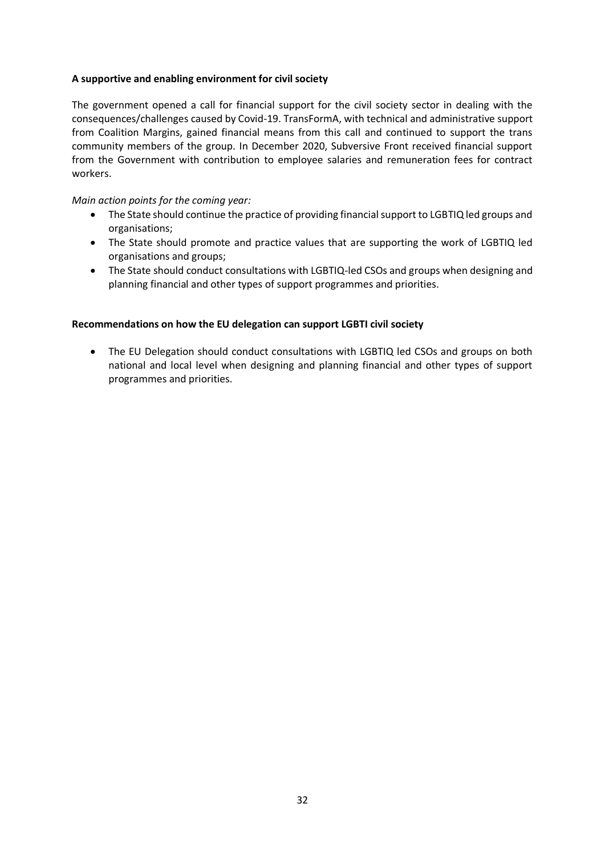# **A supportive and enabling environment for civil society**

The government opened a call for financial support for the civil society sector in dealing with the consequences/challenges caused by Covid-19. TransFormA, with technical and administrative support from Coalition Margins, gained financial means from this call and continued to support the trans community members of the group. In December 2020, Subversive Front received financial support from the Government with contribution to employee salaries and remuneration fees for contract workers.

## *Main action points for the coming year:*

- The State should continue the practice of providing financial support to LGBTIQ led groups and organisations;
- The State should promote and practice values that are supporting the work of LGBTIQ led organisations and groups;
- The State should conduct consultations with LGBTIQ-led CSOs and groups when designing and planning financial and other types of support programmes and priorities.

## **Recommendations on how the EU delegation can support LGBTI civil society**

• The EU Delegation should conduct consultations with LGBTIQ led CSOs and groups on both national and local level when designing and planning financial and other types of support programmes and priorities.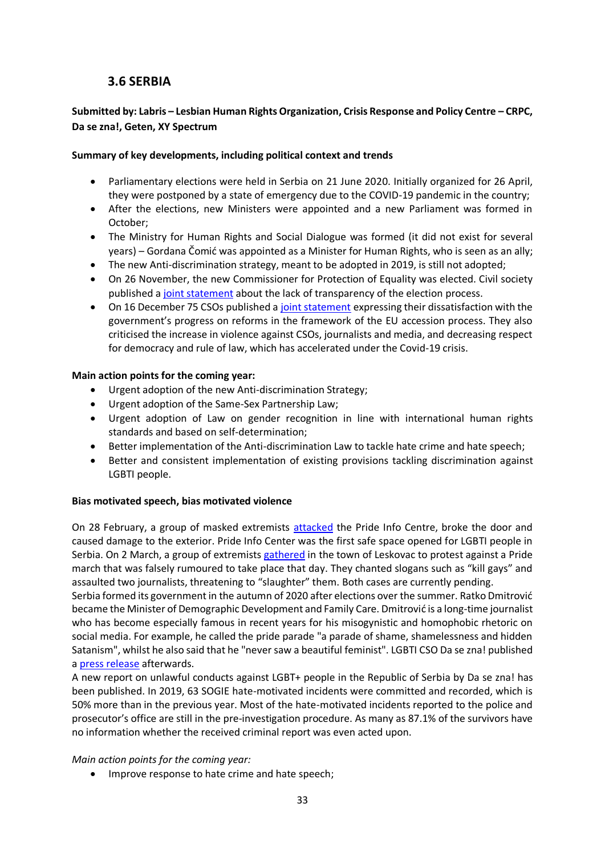# **3.6 SERBIA**

# <span id="page-33-0"></span>**Submitted by: Labris – Lesbian Human Rights Organization, Crisis Response and Policy Centre – CRPC, Da se zna!, Geten, XY Spectrum**

## **Summary of key developments, including political context and trends**

- Parliamentary elections were held in Serbia on 21 June 2020. Initially organized for 26 April, they were postponed by a state of emergency due to the COVID-19 pandemic in the country;
- After the elections, new Ministers were appointed and a new Parliament was formed in October;
- The Ministry for Human Rights and Social Dialogue was formed (it did not exist for several years) – Gordana Čomić was appointed as a Minister for Human Rights, who is seen as an ally;
- The new Anti-discrimination strategy, meant to be adopted in 2019, is still not adopted;
- On 26 November, the new Commissioner for Protection of Equality was elected. Civil society published a [joint statement](http://labris.org.rs/sr/pravna-analiza-izbora-poverenika-za-za%C5%A1titu-ravnopravnosti) about the lack of transparency of the election process.
- On 16 December 75 CSOs published a [joint statement](https://en.yucom.org.rs/statement-regarding-the-standstill-of-european-integration-in-the-republic-of-serbia-in-2020-by-the-civil-society-organisations-of-serbia-full-list-of-signatories-below/) expressing their dissatisfaction with the government's progress on reforms in the framework of the EU accession process. They also criticised the increase in violence against CSOs, journalists and media, and decreasing respect for democracy and rule of law, which has accelerated under the Covid-19 crisis.

## **Main action points for the coming year:**

- Urgent adoption of the new Anti-discrimination Strategy;
- Urgent adoption of the Same-Sex Partnership Law;
- Urgent adoption of Law on gender recognition in line with international human rights standards and based on self-determination;
- Better implementation of the Anti-discrimination Law to tackle hate crime and hate speech;
- Better and consistent implementation of existing provisions tackling discrimination against LGBTI people.

# **Bias motivated speech, bias motivated violence**

On 28 February, a group of masked extremists [attacked](https://crd.org/2020/03/04/attack-on-pride-info-centre-and-violent-protest-signal-worrying-trend-for-lgbti-community-in-serbia/) the Pride Info Centre, broke the door and caused damage to the exterior. Pride Info Center was the first safe space opened for LGBTI people in Serbia. On 2 March, a group of extremists [gathered](https://crd.org/2020/03/04/attack-on-pride-info-centre-and-violent-protest-signal-worrying-trend-for-lgbti-community-in-serbia/) in the town of Leskovac to protest against a Pride march that was falsely rumoured to take place that day. They chanted slogans such as "kill gays" and assaulted two journalists, threatening to "slaughter" them. Both cases are currently pending.

Serbia formed its government in the autumn of 2020 after elections over the summer. Ratko Dmitrović became the Minister of Demographic Development and Family Care. Dmitrović is a long-time journalist who has become especially famous in recent years for his misogynistic and homophobic rhetoric on social media. For example, he called the pride parade "a parade of shame, shamelessness and hidden Satanism", whilst he also said that he "never saw a beautiful feminist". LGBTI CSO Da se zna! published a [press release](https://www.facebook.com/dasezna.lgbt/photos/3216777968445480) afterwards.

A new report on unlawful conducts against LGBT+ people in the Republic of Serbia by Da se zna! has been published. In 2019, 63 SOGIE hate-motivated incidents were committed and recorded, which is 50% more than in the previous year. Most of the hate-motivated incidents reported to the police and prosecutor's office are still in the pre-investigation procedure. As many as 87.1% of the survivors have no information whether the received criminal report was even acted upon.

# *Main action points for the coming year:*

• Improve response to hate crime and hate speech;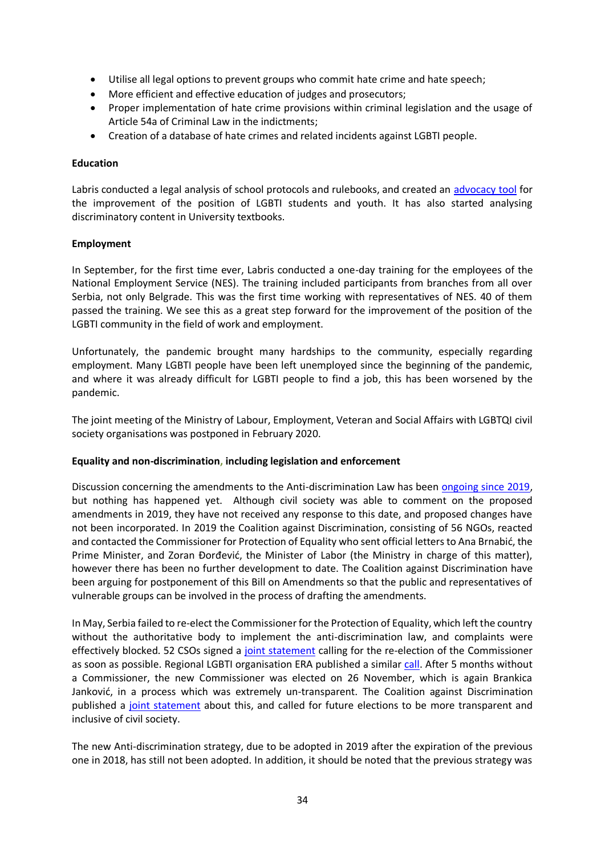- Utilise all legal options to prevent groups who commit hate crime and hate speech;
- More efficient and effective education of judges and prosecutors;
- Proper implementation of hate crime provisions within criminal legislation and the usage of Article 54a of Criminal Law in the indictments;
- Creation of a database of hate crimes and related incidents against LGBTI people.

## **Education**

Labris conducted a legal analysis of school protocols and rulebooks, and created an [advocacy tool](http://labris.org.rs/sites/default/files/Pobolj%C5%A1anje%20polo%C5%BEaja%20LGBTI%20dece%20i%20mladih%20u%20obrazovnom%20sistemu%20Republike%20Srbije.pdf) for the improvement of the position of LGBTI students and youth. It has also started analysing discriminatory content in University textbooks.

## **Employment**

In September, for the first time ever, Labris conducted a one-day training for the employees of the National Employment Service (NES). The training included participants from branches from all over Serbia, not only Belgrade. This was the first time working with representatives of NES. 40 of them passed the training. We see this as a great step forward for the improvement of the position of the LGBTI community in the field of work and employment.

Unfortunately, the pandemic brought many hardships to the community, especially regarding employment. Many LGBTI people have been left unemployed since the beginning of the pandemic, and where it was already difficult for LGBTI people to find a job, this has been worsened by the pandemic.

The joint meeting of the Ministry of Labour, Employment, Veteran and Social Affairs with LGBTQI civil society organisations was postponed in February 2020.

## **Equality and non-discrimination, including legislation and enforcement**

Discussion concerning the amendments to the Anti-discrimination Law has been [ongoing since 2019,](http://ravnopravnost.gov.rs/misljenje-na-nacrt-zakona-o-izmenama-i-dopunama-zakona-o-zabrani-diskriminacije-cir/) but nothing has happened yet. Although civil society was able to comment on the proposed amendments in 2019, they have not received any response to this date, and proposed changes have not been incorporated. In 2019 the Coalition against Discrimination, consisting of 56 NGOs, reacted and contacted the Commissioner for Protection of Equality who sent official letters to Ana Brnabić, the Prime Minister, and Zoran Đorđević, the Minister of Labor (the Ministry in charge of this matter), however there has been no further development to date. The Coalition against Discrimination have been arguing for postponement of this Bill on Amendments so that the public and representatives of vulnerable groups can be involved in the process of drafting the amendments.

In May, Serbia failed to re-elect the Commissioner for the Protection of Equality, which left the country without the authoritative body to implement the anti-discrimination law, and complaints were effectively blocked. 52 CSOs signed a [joint statement](http://femplatz.org/library/2020-06-16_Zastita_od_diskriminacije_na_pauzi.pdf?fbclid=IwAR0HRLIBQHOhQT54Kq86tldTtWEPbkW9XcdLdr3rMK6h9Jhn1tIueeimUew) calling for the re-election of the Commissioner as soon as possible. Regional LGBTI organisation ERA published a similar [call.](https://www.lgbti-era.org/news/serbia-left-without-commissioner-protection-equality) After 5 months without a Commissioner, the new Commissioner was elected on 26 November, which is again Brankica Janković, in a process which was extremely un-transparent. The Coalition against Discrimination published a [joint statement](http://labris.org.rs/sr/pravna-analiza-izbora-poverenika-za-za%C5%A1titu-ravnopravnosti) about this, and called for future elections to be more transparent and inclusive of civil society.

The new Anti-discrimination strategy, due to be adopted in 2019 after the expiration of the previous one in 2018, has still not been adopted. In addition, it should be noted that the previous strategy was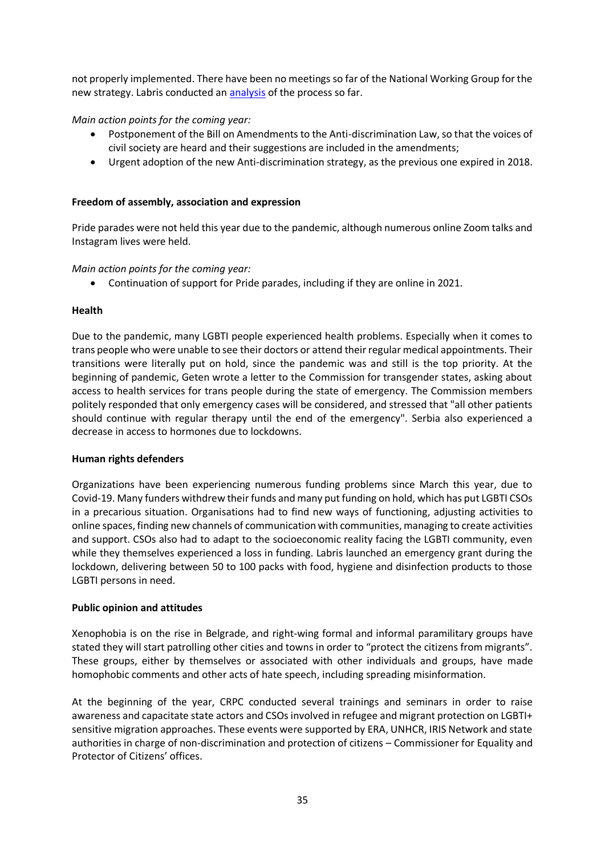not properly implemented. There have been no meetings so far of the National Working Group for the new strategy. Labris conducted an [analysis](http://labris.org.rs/sites/default/files/preporuke%20civilnog.pdf) of the process so far.

## *Main action points for the coming year:*

- Postponement of the Bill on Amendments to the Anti-discrimination Law, so that the voices of civil society are heard and their suggestions are included in the amendments;
- Urgent adoption of the new Anti-discrimination strategy, as the previous one expired in 2018.

## **Freedom of assembly, association and expression**

Pride parades were not held this year due to the pandemic, although numerous online Zoom talks and Instagram lives were held.

## *Main action points for the coming year:*

• Continuation of support for Pride parades, including if they are online in 2021.

## **Health**

Due to the pandemic, many LGBTI people experienced health problems. Especially when it comes to trans people who were unable to see their doctors or attend their regular medical appointments. Their transitions were literally put on hold, since the pandemic was and still is the top priority. At the beginning of pandemic, Geten wrote a letter to the Commission for transgender states, asking about access to health services for trans people during the state of emergency. The Commission members politely responded that only emergency cases will be considered, and stressed that "all other patients should continue with regular therapy until the end of the emergency". Serbia also experienced a decrease in access to hormones due to lockdowns.

## **Human rights defenders**

Organizations have been experiencing numerous funding problems since March this year, due to Covid-19. Many funders withdrew their funds and many put funding on hold, which has put LGBTI CSOs in a precarious situation. Organisations had to find new ways of functioning, adjusting activities to online spaces, finding new channels of communication with communities, managing to create activities and support. CSOs also had to adapt to the socioeconomic reality facing the LGBTI community, even while they themselves experienced a loss in funding. Labris launched an emergency grant during the lockdown, delivering between 50 to 100 packs with food, hygiene and disinfection products to those LGBTI persons in need.

## **Public opinion and attitudes**

Xenophobia is on the rise in Belgrade, and right-wing formal and informal paramilitary groups have stated they will start patrolling other cities and towns in order to "protect the citizens from migrants". These groups, either by themselves or associated with other individuals and groups, have made homophobic comments and other acts of hate speech, including spreading misinformation.

At the beginning of the year, CRPC conducted several trainings and seminars in order to raise awareness and capacitate state actors and CSOs involved in refugee and migrant protection on LGBTI+ sensitive migration approaches. These events were supported by ERA, UNHCR, IRIS Network and state authorities in charge of non-discrimination and protection of citizens – Commissioner for Equality and Protector of Citizens' offices.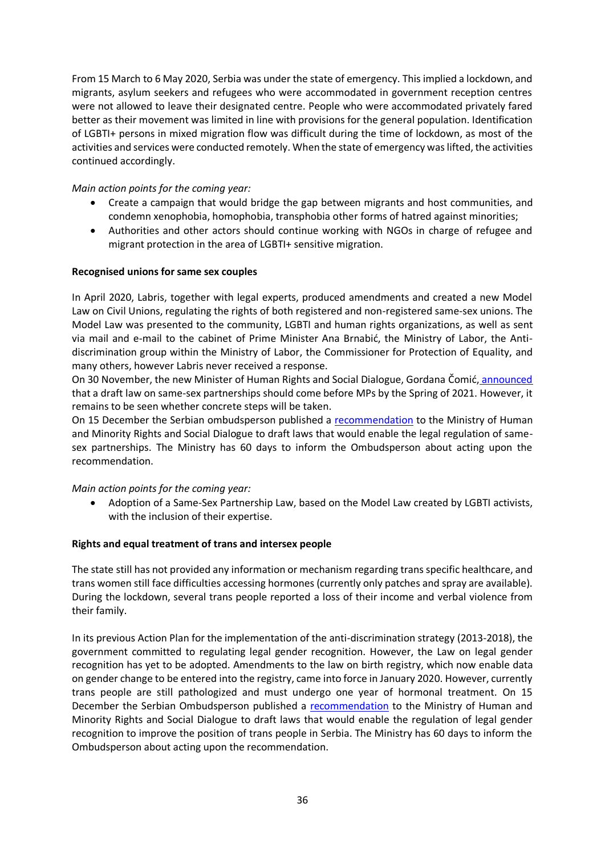From 15 March to 6 May 2020, Serbia was under the state of emergency. This implied a lockdown, and migrants, asylum seekers and refugees who were accommodated in government reception centres were not allowed to leave their designated centre. People who were accommodated privately fared better as their movement was limited in line with provisions for the general population. Identification of LGBTI+ persons in mixed migration flow was difficult during the time of lockdown, as most of the activities and services were conducted remotely. When the state of emergency was lifted, the activities continued accordingly.

# *Main action points for the coming year:*

- Create a campaign that would bridge the gap between migrants and host communities, and condemn xenophobia, homophobia, transphobia other forms of hatred against minorities;
- Authorities and other actors should continue working with NGOs in charge of refugee and migrant protection in the area of LGBTI+ sensitive migration.

## **Recognised unions for same sex couples**

In April 2020, Labris, together with legal experts, produced amendments and created a new Model Law on Civil Unions, regulating the rights of both registered and non-registered same-sex unions. The Model Law was presented to the community, LGBTI and human rights organizations, as well as sent via mail and e-mail to the cabinet of Prime Minister Ana Brnabić, the Ministry of Labor, the Antidiscrimination group within the Ministry of Labor, the Commissioner for Protection of Equality, and many others, however Labris never received a response.

On 30 November, the new Minister of Human Rights and Social Dialogue, Gordana Čomić, [announced](https://balkaninsight.com/2020/12/01/tired-of-broken-promises-activists-await-govt-action-on-same-sex-law/) that a draft law on same-sex partnerships should come before MPs by the Spring of 2021. However, it remains to be seen whether concrete steps will be taken.

On 15 December the Serbian ombudsperson published a [recommendation](https://www.ombudsman.org.rs/index.php?option=com_content&view=article&id=306:pass-laws-on-samesex-communities-and-adjusting-gender-to-gender-identity-as-soon-as-possible&catid=44:opinions-and-views&Itemid=4) to the Ministry of Human and Minority Rights and Social Dialogue to draft laws that would enable the legal regulation of samesex partnerships. The Ministry has 60 days to inform the Ombudsperson about acting upon the recommendation.

## *Main action points for the coming year:*

• Adoption of a Same-Sex Partnership Law, based on the Model Law created by LGBTI activists, with the inclusion of their expertise.

## **Rights and equal treatment of trans and intersex people**

The state still has not provided any information or mechanism regarding trans specific healthcare, and trans women still face difficulties accessing hormones (currently only patches and spray are available). During the lockdown, several trans people reported a loss of their income and verbal violence from their family.

In its previous Action Plan for the implementation of the anti-discrimination strategy (2013-2018), the government committed to regulating legal gender recognition. However, the Law on legal gender recognition has yet to be adopted. Amendments to the law on birth registry, which now enable data on gender change to be entered into the registry, came into force in January 2020. However, currently trans people are still pathologized and must undergo one year of hormonal treatment. On 15 December the Serbian Ombudsperson published a [recommendation](https://www.ombudsman.org.rs/index.php?option=com_content&view=article&id=306:pass-laws-on-samesex-communities-and-adjusting-gender-to-gender-identity-as-soon-as-possible&catid=44:opinions-and-views&Itemid=4) to the Ministry of Human and Minority Rights and Social Dialogue to draft laws that would enable the regulation of legal gender recognition to improve the position of trans people in Serbia. The Ministry has 60 days to inform the Ombudsperson about acting upon the recommendation.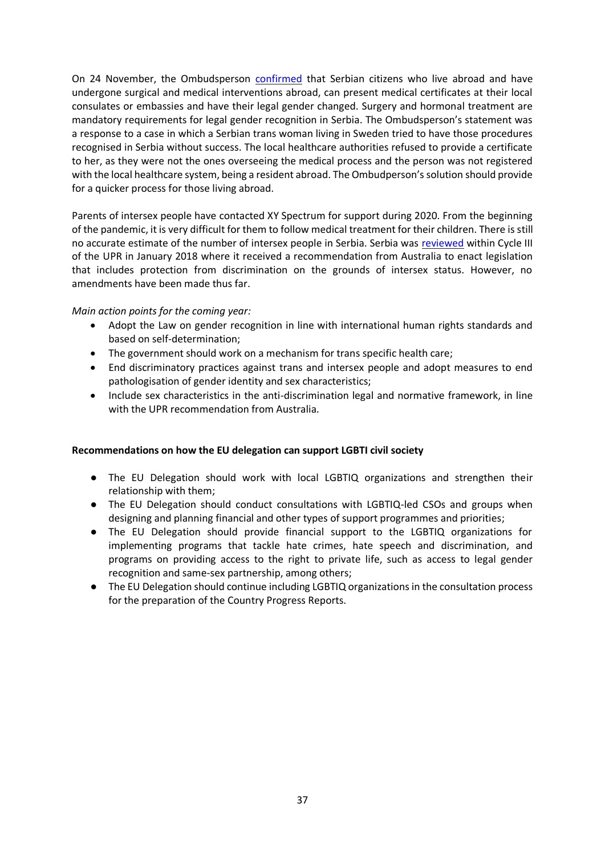On 24 November, the Ombudsperson [confirmed](https://www.ombudsman.org.rs/index.php?option=com_content&view=article&id=276:possible-to-register-gender-reassignment-abroad-into-the-registry-books-in-serbia&catid=44:opinions-and-views&Itemid=4) that Serbian citizens who live abroad and have undergone surgical and medical interventions abroad, can present medical certificates at their local consulates or embassies and have their legal gender changed. Surgery and hormonal treatment are mandatory requirements for legal gender recognition in Serbia. The Ombudsperson's statement was a response to a case in which a Serbian trans woman living in Sweden tried to have those procedures recognised in Serbia without success. The local healthcare authorities refused to provide a certificate to her, as they were not the ones overseeing the medical process and the person was not registered with the local healthcare system, being a resident abroad. The Ombudperson's solution should provide for a quicker process for those living abroad.

Parents of intersex people have contacted XY Spectrum for support during 2020. From the beginning of the pandemic, it is very difficult for them to follow medical treatment for their children. There is still no accurate estimate of the number of intersex people in Serbia. Serbia was [reviewed](https://www.ohchr.org/Documents/HRBodies/UPR/NGOsMidTermReports/ERA-3rd-Serbia.pdf) within Cycle III of the UPR in January 2018 where it received a recommendation from Australia to enact legislation that includes protection from discrimination on the grounds of intersex status. However, no amendments have been made thus far.

## *Main action points for the coming year:*

- Adopt the Law on gender recognition in line with international human rights standards and based on self-determination;
- The government should work on a mechanism for trans specific health care;
- End discriminatory practices against trans and intersex people and adopt measures to end pathologisation of gender identity and sex characteristics;
- Include sex characteristics in the anti-discrimination legal and normative framework, in line with the UPR recommendation from Australia.

## **Recommendations on how the EU delegation can support LGBTI civil society**

- The EU Delegation should work with local LGBTIQ organizations and strengthen their relationship with them;
- The EU Delegation should conduct consultations with LGBTIQ-led CSOs and groups when designing and planning financial and other types of support programmes and priorities;
- The EU Delegation should provide financial support to the LGBTIQ organizations for implementing programs that tackle hate crimes, hate speech and discrimination, and programs on providing access to the right to private life, such as access to legal gender recognition and same-sex partnership, among others;
- The EU Delegation should continue including LGBTIQ organizations in the consultation process for the preparation of the Country Progress Reports.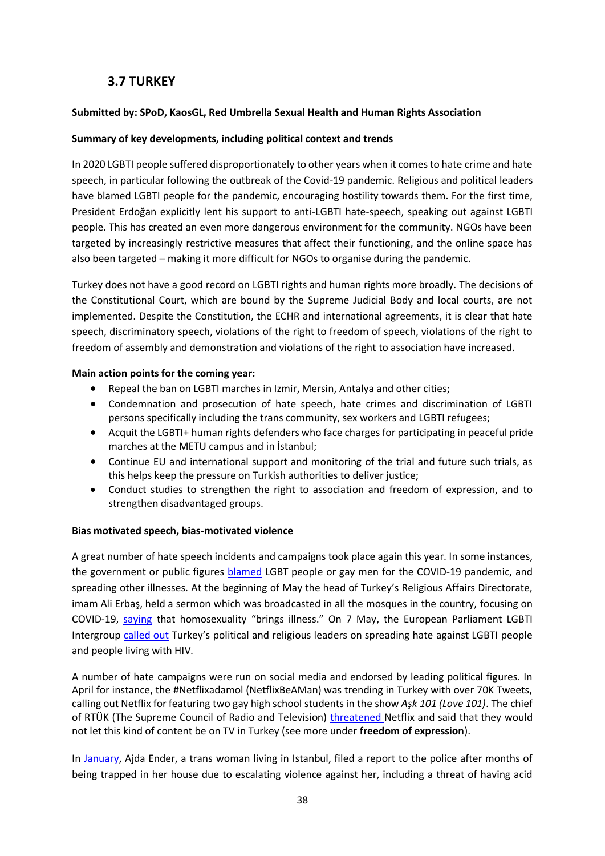# **3.7 TURKEY**

# <span id="page-38-0"></span>**Submitted by: SPoD, KaosGL, Red Umbrella Sexual Health and Human Rights Association**

## **Summary of key developments, including political context and trends**

In 2020 LGBTI people suffered disproportionately to other years when it comes to hate crime and hate speech, in particular following the outbreak of the Covid-19 pandemic. Religious and political leaders have blamed LGBTI people for the pandemic, encouraging hostility towards them. For the first time, President Erdoğan explicitly lent his support to anti-LGBTI hate-speech, speaking out against LGBTI people. This has created an even more dangerous environment for the community. NGOs have been targeted by increasingly restrictive measures that affect their functioning, and the online space has also been targeted – making it more difficult for NGOs to organise during the pandemic.

Turkey does not have a good record on LGBTI rights and human rights more broadly. The decisions of the Constitutional Court, which are bound by the Supreme Judicial Body and local courts, are not implemented. Despite the Constitution, the ECHR and international agreements, it is clear that hate speech, discriminatory speech, violations of the right to freedom of speech, violations of the right to freedom of assembly and demonstration and violations of the right to association have increased.

## **Main action points for the coming year:**

- Repeal the ban on LGBTI marches in Izmir, Mersin, Antalya and other cities;
- Condemnation and prosecution of hate speech, hate crimes and discrimination of LGBTI persons specifically including the trans community, sex workers and LGBTI refugees;
- Acquit the LGBTI+ human rights defenders who face charges for participating in peaceful pride marches at the METU campus and in İstanbul;
- Continue EU and international support and monitoring of the trial and future such trials, as this helps keep the pressure on Turkish authorities to deliver justice;
- Conduct studies to strengthen the right to association and freedom of expression, and to strengthen disadvantaged groups.

## **Bias motivated speech, bias-motivated violence**

A great number of hate speech incidents and campaigns took place again this year. In some instances, the government or public figures **blamed LGBT** people or gay men for the COVID-19 pandemic, and spreading other illnesses. At the beginning of May the head of Turkey's Religious Affairs Directorate, imam Ali Erbaş, held a sermon which was broadcasted in all the mosques in the country, focusing on COVID-19, [saying](https://www.ekathimerini.com/252534/opinion/ekathimerini/comment/turkish-government-scapegoats-lgbti-community-for-covid-19-pandemic) that homosexuality "brings illness." On 7 May, the European Parliament LGBTI Intergroup [called out](https://lgbti-ep.eu/2020/05/07/meps-call-out-hate-speech-by-high-level-institutional-representatives-in-turkey/) Turkey's political and religious leaders on spreading hate against LGBTI people and people living with HIV.

A number of hate campaigns were run on social media and endorsed by leading political figures. In April for instance, the #Netflixadamol (NetflixBeAMan) was trending in Turkey with over 70K Tweets, calling out Netflix for featuring two gay high school students in the show *Aşk 101 (Love 101)*. The chief of RTÜK (The Supreme Council of Radio and Television) [threatened](https://www.birgun.net/haber/akit-gazetesi-netflix-i-hedef-gosterdi-rtuk-harekete-gecti-296219) Netflix and said that they would not let this kind of content be on TV in Turkey (see more under **freedom of expression**).

In [January,](https://www.pinknews.co.uk/2020/01/13/trans-woman-ransphobic-violence-instanbul-ajda-ender/) Ajda Ender, a trans woman living in Istanbul, filed a report to the police after months of being trapped in her house due to escalating violence against her, including a threat of having acid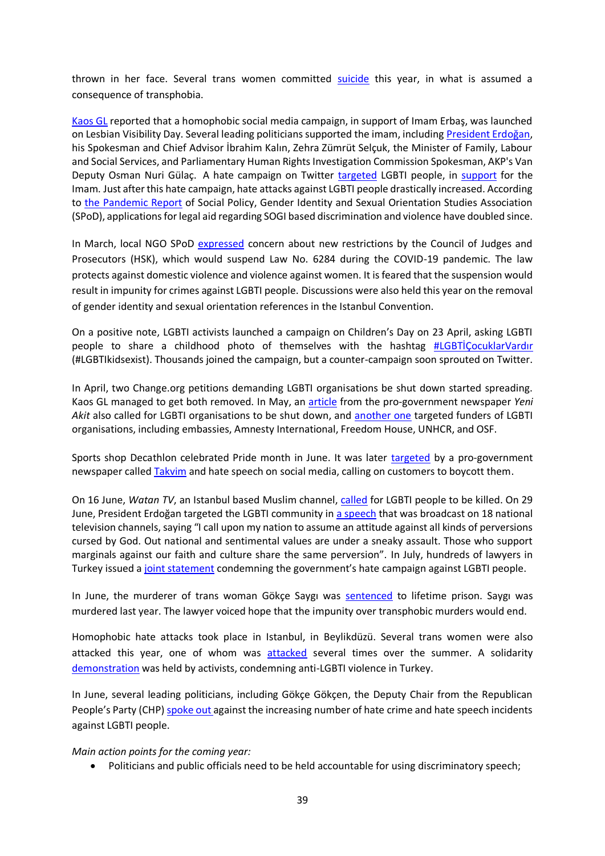thrown in her face. Several trans women committed [suicide](http://www.pembehayat.org/haberler/detay/2330/trans-kadin-eda-hanci-evinde-olu-bulundu) this year, in what is assumed a consequence of transphobia.

[Kaos GL](https://www.kaosgl.org/en/single-news/what-happened-after-the-hateful-khutbah-of-the-religious-affairs-administration-of-turkey) reported that a homophobic social media campaign, in support of Imam Erbaş, was launched on Lesbian Visibility Day. Several leading politicians supported the imam, including [President Erdoğan](https://www.turkishminute.com/2020/04/28/erdogan-defends-top-religious-authoritys-anti-lgbt-remarks-report/), his Spokesman and Chief Advisor İbrahim Kalın, Zehra Zümrüt Selçuk, the Minister of Family, Labour and Social Services, and Parliamentary Human Rights Investigation Commission Spokesman, AKP's Van Deputy Osman Nuri Gülaç. A hate campaign on Twitter [targeted](https://twitter.com/hashtag/e%C5%9Fcinselliklanetlenmi%C5%9Ftir?lang=en) LGBTI people, in [support](https://www.instagram.com/explore/tags/alierba%C5%9Fyaln%C4%B1zde%C4%9Fildir/?hl=en) for the Imam. Just after this hate campaign, hate attacks against LGBTI people drastically increased. According to [the Pandemic Report](http://spod.org.tr/SourceFiles/pdf-2020623151720.pdf) of Social Policy, Gender Identity and Sexual Orientation Studies Association (SPoD), applications for legal aid regarding SOGI based discrimination and violence have doubled since.

In March, local NGO SPoD [expressed](http://www.spod.org.tr/TR/Detay/40111/4/hsk-korona-virus-gerekcesiyle-6284u-askiya-aldi) concern about new restrictions by the Council of Judges and Prosecutors (HSK), which would suspend Law No. 6284 during the COVID-19 pandemic. The law protects against domestic violence and violence against women. It is feared that the suspension would result in impunity for crimes against LGBTI people. Discussions were also held this year on the removal of gender identity and sexual orientation references in the Istanbul Convention.

On a positive note, LGBTI activists launched a campaign on Children's Day on 23 April, asking LGBTI people to share a childhood photo of themselves with the hashtag [#LGBTİÇocuklarVardır](https://twitter.com/hashtag/lgbti%CC%87%C3%A7ocuklarvard%C4%B1r) (#LGBTIkidsexist). Thousands joined the campaign, but a counter-campaign soon sprouted on Twitter.

In April, two Change.org petitions demanding LGBTI organisations be shut down started spreading. Kaos GL managed to get both removed. In May, an [article](https://www.yeniakit.com.tr/haber/sapkin-dernekler-kapatilsin-gencleri-zehirliyor-aileyi-parcaliyor-toplumu-dinamitliyor-1216166.html) from the pro-government newspaper *Yeni Akit* also called for LGBTI organisations to be shut down, and [another one](https://www.aydinlik.com.tr/iste-lgbti-propagandasinin-sponsorlari-207332#2) targeted funders of LGBTI organisations, including embassies, Amnesty International, Freedom House, UNHCR, and OSF.

Sports shop Decathlon celebrated Pride month in June. It was later [targeted](https://kaosgl.org/en/single-news/decathlon-turkey-against-the-hatred-we-believe-in-the-unifying-power-of-sports) by a pro-government newspaper calle[d Takvim](https://www.takvim.com.tr/guncel/2020/06/05/lgbti-sapkinligina-destek-veren-decathlona-sosyal-medyada-boykot-cagrisi) and hate speech on social media, calling on customers to boycott them.

On 16 June, *Watan TV*, an Istanbul based Muslim channel, [called](https://www.youtube.com/watch?v=qweG_NVkr24) for LGBTI people to be killed. On 29 June, President Erdoğan targeted the LGBTI community in [a speech](https://kaosgl.org/haber/onur-ayi-haziran-da-homofobik-nefret-salgini) that was broadcast on 18 national television channels, saying "I call upon my nation to assume an attitude against all kinds of perversions cursed by God. Out national and sentimental values are under a sneaky assault. Those who support marginals against our faith and culture share the same perversion". In July, hundreds of lawyers in Turkey issued a [joint statement](https://kaosgl.org/en/single-news/a-joint-statement-from-hundreds-of-lawyers-lgbtiq-rights-are-human-rights) condemning the government's hate campaign against LGBTI people.

In June, the murderer of trans woman Gökçe Saygı was [sentenced](https://kaosgl.org/haber/trans-kadin-gokce-saygi-nin-katiline-omur-boyu-hapis-cezasi) to lifetime prison. Saygı was murdered last year. The lawyer voiced hope that the impunity over transphobic murders would end.

Homophobic hate attacks took place in Istanbul, in Beylikdüzü. Several trans women were also attacked this year, one of whom was [attacked](https://kaosgl.org/en/single-news/market-worker-attacked-a-trans-woman-in-pangalti-istanbul-threatened-her-with-death) several times over the summer. A solidarity [demonstration](https://www.youtube.com/watch?v=Z_z7k9L0i5A&feature=emb_title) was held by activists, condemning anti-LGBTI violence in Turkey.

In June, several leading politicians, including Gökçe Gökçen, the Deputy Chair from the Republican People's Party (CHP) [spoke out a](https://bianet.org/bianet/lgbti/225448-herkesin-yasam-hakkini-savunmak-hepimizin-sorumlulugu)gainst the increasing number of hate crime and hate speech incidents against LGBTI people.

*Main action points for the coming year:*

• Politicians and public officials need to be held accountable for using discriminatory speech;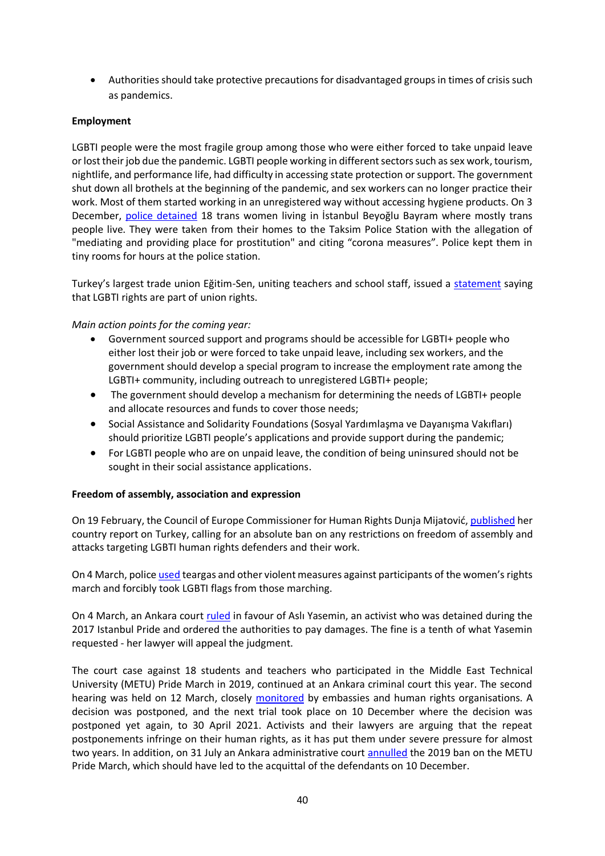• Authorities should take protective precautions for disadvantaged groups in times of crisis such as pandemics.

# **Employment**

LGBTI people were the most fragile group among those who were either forced to take unpaid leave or lost their job due the pandemic. LGBTI people working in different sectors such as sex work, tourism, nightlife, and performance life, had difficulty in accessing state protection or support. The government shut down all brothels at the beginning of the pandemic, and sex workers can no longer practice their work. Most of them started working in an unregistered way without accessing hygiene products. On 3 December, [police detained](https://kaosgl.org/en/single-news/police-detained-18-trans-women-citing-corona-measures) 18 trans women living in İstanbul Beyoğlu Bayram where mostly trans people live. They were taken from their homes to the Taksim Police Station with the allegation of "mediating and providing place for prostitution" and citing "corona measures". Police kept them in tiny rooms for hours at the police station.

Turkey's largest trade union Eğitim-Sen, uniting teachers and school staff, issued a [statement](https://kaosgl.org/haber/egitim-sen-lgbti-komisyonlari-lgbti-haklari-sendikal-haklardir) saying that LGBTI rights are part of union rights.

## *Main action points for the coming year:*

- Government sourced support and programs should be accessible for LGBTI+ people who either lost their job or were forced to take unpaid leave, including sex workers, and the government should develop a special program to increase the employment rate among the LGBTI+ community, including outreach to unregistered LGBTI+ people;
- The government should develop a mechanism for determining the needs of LGBTI+ people and allocate resources and funds to cover those needs;
- Social Assistance and Solidarity Foundations (Sosyal Yardımlaşma ve Dayanışma Vakıfları) should prioritize LGBTI people's applications and provide support during the pandemic;
- For LGBTI people who are on unpaid leave, the condition of being uninsured should not be sought in their social assistance applications.

## **Freedom of assembly, association and expression**

On 19 February, the Council of Europe Commissioner for Human Rights Dunja Mijatović, [published](https://rm.coe.int/report-on-the-visit-to-turkey-by-dunja-mijatovic-council-of-europe-com/168099823e) her country report on Turkey, calling for an absolute ban on any restrictions on freedom of assembly and attacks targeting LGBTI human rights defenders and their work.

On 4 March, polic[e used](https://time.com/5185413/turkey-womens-rights-ankara-march/) teargas and other violent measures against participants of the women's rights march and forcibly took LGBTI flags from those marching.

On 4 March, an Ankara court [ruled](http://bianet.org/english/lgbti/220921-activist-detained-in-pride-parade-wins-lawsuit-for-compensation) in favour of Aslı Yasemin, an activist who was detained during the 2017 Istanbul Pride and ordered the authorities to pay damages. The fine is a tenth of what Yasemin requested - her lawyer will appeal the judgment.

The court case against 18 students and teachers who participated in the Middle East Technical University (METU) Pride March in 2019, continued at an Ankara criminal court this year. The second hearing was held on 12 March, closely [monitored](https://www.kaosgl.org/en/single-news/metu-pride-march-trials-our-students-were-beaten-but-now-they-are-on-trial) by embassies and human rights organisations. A decision was postponed, and the next trial took place on 10 December where the decision was postponed yet again, to 30 April 2021. Activists and their lawyers are arguing that the repeat postponements infringe on their human rights, as it has put them under severe pressure for almost two years. In addition, on 31 July an Ankara administrative court [annulled](http://bianet.org/english/lgbti/228331-court-overturns-ban-on-9th-metu-pride-parade) the 2019 ban on the METU Pride March, which should have led to the acquittal of the defendants on 10 December.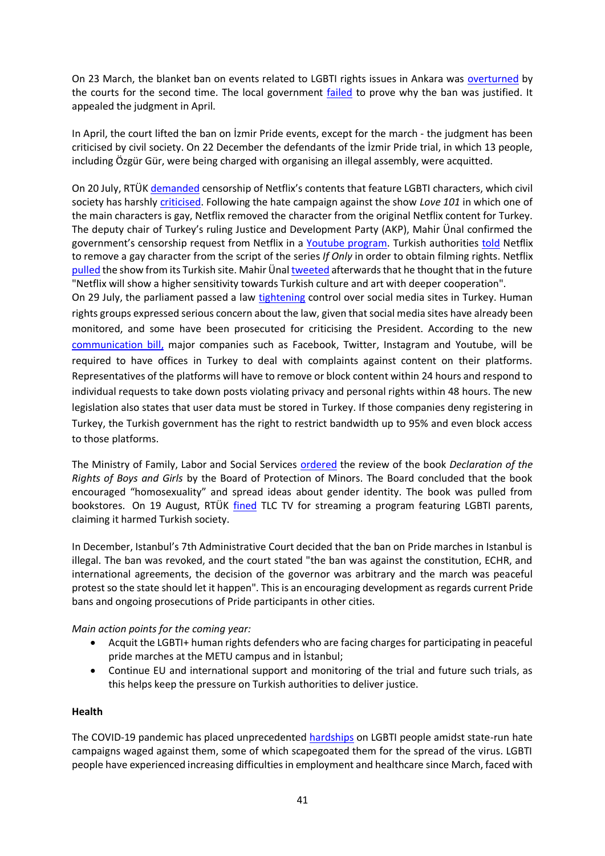On 23 March, the blanket ban on events related to LGBTI rights issues in Ankara was [overturned](https://ahvalnews.com/turkey-lgbti/ankara-ban-pride-events-overturned-second-time) by the courts for the second time. The local government [failed](https://www.kaosgl.org/en/single-news/the-second-blanket-ban-on-lgbti-events-in-ankara-has-also-been-lifted) to prove why the ban was justified. It appealed the judgment in April.

In April, the court lifted the ban on İzmir Pride events, except for the march - the judgment has been criticised by civil society. On 22 December the defendants of the İzmir Pride trial, in which 13 people, including Özgür Gür, were being charged with organising an illegal assembly, were acquitted.

On 20 July, RTÜK [demanded](https://www.euronews.com/2020/07/23/turkish-authorities-told-netflix-to-remove-gay-character-from-script-to-get-licence-for-fi) censorship of Netflix's contents that feature LGBTI characters, which civil society has harshly [criticised.](https://kaosgl.org/en/single-news/34-we-re-asking-rtuk-on-what-grounds-are-you-censoring-homosexual-characters-34) Following the hate campaign against the show *Love 101* in which one of the main characters is gay, Netflix removed the character from the original Netflix content for Turkey. The deputy chair of Turkey's ruling Justice and Development Party (AKP), Mahir Ünal confirmed the government's censorship request from Netflix in a [Youtube program.](https://www.youtube.com/watch?v=Hq8v6Rc41Cw&feature=youtu.be) Turkish authorities [told](https://www.euronews.com/2020/07/23/turkish-authorities-told-netflix-to-remove-gay-character-from-script-to-get-licence-for-fi) Netflix to remove a gay character from the script of the series *If Only* in order to obtain filming rights. Netflix [pulled](https://www.openlynews.com/i/?id=b5070759-0ea7-4b4f-ae0e-9f28858c2a8a) the show from its Turkish site. Mahir Ünal [tweeted](https://www.euronews.com/2020/07/23/turkish-authorities-told-netflix-to-remove-gay-character-from-script-to-get-licence-for-fi) afterwards that he thought that in the future "Netflix will show a higher sensitivity towards Turkish culture and art with deeper cooperation".

On 29 July, the parliament passed a law [tightening](https://docs.google.com/document/d/1nYp2MCsn9Z6BSCvYJfXm9-yjttWHFKfo5yeaxJOmbbg/edit) control over social media sites in Turkey. Human rights groups expressed serious concern about the law, given that social media sites have already been monitored, and some have been prosecuted for criticising the President. According to the new [communication bill,](https://www.euronews.com/2020/07/29/concerns-of-censorship-grow-in-turkey-after-parliament-approves-new-social-media-regulatio) major companies such as Facebook, Twitter, Instagram and Youtube, will be required to have offices in Turkey to deal with complaints against content on their platforms. Representatives of the platforms will have to remove or block content within 24 hours and respond to individual requests to take down posts violating privacy and personal rights within 48 hours. The new legislation also states that user data must be stored in Turkey. If those companies deny registering in Turkey, the Turkish government has the right to restrict bandwidth up to 95% and even block access to those platforms.

The Ministry of Family, Labor and Social Services [ordered](https://kaosgl.org/haber/homofobi-ve-transfobi-is-basinda-cocuk-kitaplari-imha-edildi) the review of the book *Declaration of the Rights of Boys and Girls* by the Board of Protection of Minors. The Board concluded that the book encouraged "homosexuality" and spread ideas about gender identity. The book was pulled from bookstores. On 19 August, RTÜK [fined](https://dokuz8haber.net/toplumsalcinsiyet/lgbti/rtukten-tlcye-homofobik-ceza/) TLC TV for streaming a program featuring LGBTI parents, claiming it harmed Turkish society.

In December, Istanbul's 7th Administrative Court decided that the ban on Pride marches in Istanbul is illegal. The ban was revoked, and the court stated "the ban was against the constitution, ECHR, and international agreements, the decision of the governor was arbitrary and the march was peaceful protest so the state should let it happen". This is an encouraging development as regards current Pride bans and ongoing prosecutions of Pride participants in other cities.

*Main action points for the coming year:*

- Acquit the LGBTI+ human rights defenders who are facing charges for participating in peaceful pride marches at the METU campus and in İstanbul;
- Continue EU and international support and monitoring of the trial and future such trials, as this helps keep the pressure on Turkish authorities to deliver justice.

## **Health**

The COVID-19 pandemic has placed unprecedented [hardships](https://tr.boell.org/en/2020/04/17/how-does-covid-19-pandemic-affect-lgbti-community-turkey) on LGBTI people amidst state-run hate campaigns waged against them, some of which scapegoated them for the spread of the virus. LGBTI people have experienced increasing difficulties in employment and healthcare since March, faced with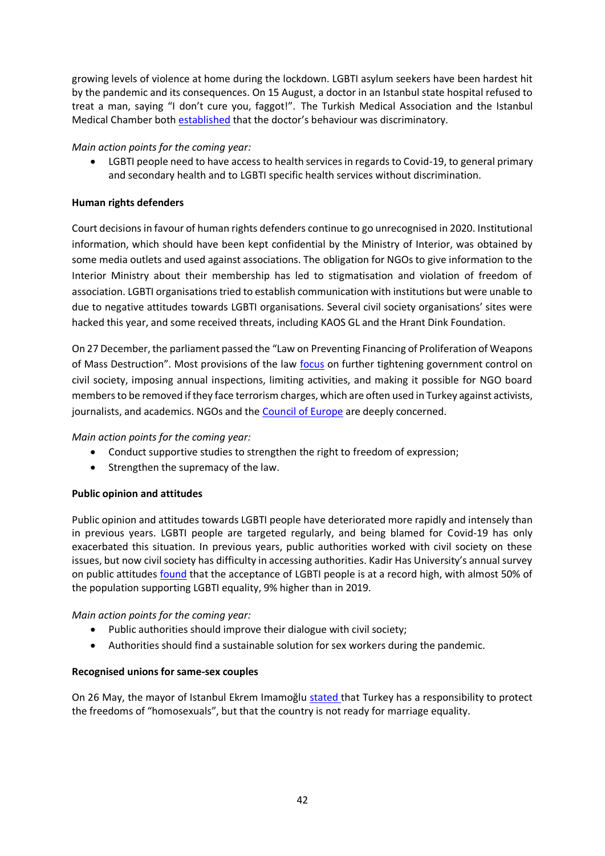growing levels of violence at home during the lockdown. LGBTI asylum seekers have been hardest hit by the pandemic and its consequences. On 15 August, a doctor in an Istanbul state hospital refused to treat a man, saying "I don't cure you, faggot!". The Turkish Medical Association and the Istanbul Medical Chamber both [established](https://kaosgl.org/haber/homofobik-hekimin-cezasi-onandi-hedef-gosteren-avukati-ise-baro-sorusturacak) that the doctor's behaviour was discriminatory.

# *Main action points for the coming year:*

• LGBTI people need to have access to health services in regards to Covid-19, to general primary and secondary health and to LGBTI specific health services without discrimination.

# **Human rights defenders**

Court decisions in favour of human rights defenders continue to go unrecognised in 2020. Institutional information, which should have been kept confidential by the Ministry of Interior, was obtained by some media outlets and used against associations. The obligation for NGOs to give information to the Interior Ministry about their membership has led to stigmatisation and violation of freedom of association. LGBTI organisations tried to establish communication with institutions but were unable to due to negative attitudes towards LGBTI organisations. Several civil society organisations' sites were hacked this year, and some received threats, including KAOS GL and the Hrant Dink Foundation.

On 27 December, the parliament passed the "Law on Preventing Financing of Proliferation of Weapons of Mass Destruction". Most provisions of the law [focus](https://freedomhouse.org/article/turkey-passage-ngo-law-strips-away-fundamental-rights-and-freedoms) on further tightening government control on civil society, imposing annual inspections, limiting activities, and making it possible for NGO board members to be removed if they face terrorism charges, which are often used in Turkey against activists, journalists, and academics. NGOs and the **Council of Europe** are deeply concerned.

# *Main action points for the coming year:*

- Conduct supportive studies to strengthen the right to freedom of expression;
- Strengthen the supremacy of the law.

# **Public opinion and attitudes**

Public opinion and attitudes towards LGBTI people have deteriorated more rapidly and intensely than in previous years. LGBTI people are targeted regularly, and being blamed for Covid-19 has only exacerbated this situation. In previous years, public authorities worked with civil society on these issues, but now civil society has difficulty in accessing authorities. Kadir Has University's annual survey on public attitudes [found](https://www.pinknews.co.uk/2020/03/24/turkey-lgbt-acceptance-muslim-islam-kadir-has-university-istanbul-rights/) that the acceptance of LGBTI people is at a record high, with almost 50% of the population supporting LGBTI equality, 9% higher than in 2019.

# *Main action points for the coming year:*

- Public authorities should improve their dialogue with civil society;
- Authorities should find a sustainable solution for sex workers during the pandemic.

# **Recognised unions for same-sex couples**

On 26 May, the mayor of Istanbul Ekrem Imamoğlu [stated t](https://kaosgl.org/en/single-news/imamoglu-mayor-of-istanbul-responded-to-the-gay-marriage-question)hat Turkey has a responsibility to protect the freedoms of "homosexuals", but that the country is not ready for marriage equality.